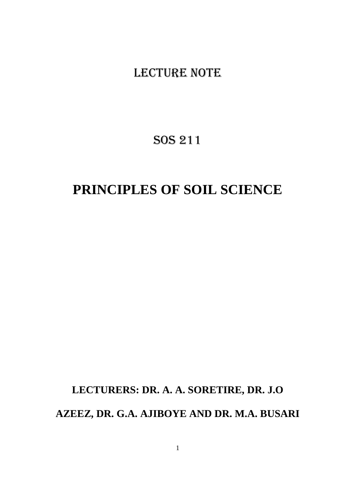# LECTURE NOTE

# SOS 211

# **PRINCIPLES OF SOIL SCIENCE**

# **LECTURERS: DR. A. A. SORETIRE, DR. J.O AZEEZ, DR. G.A. AJIBOYE AND DR. M.A. BUSARI**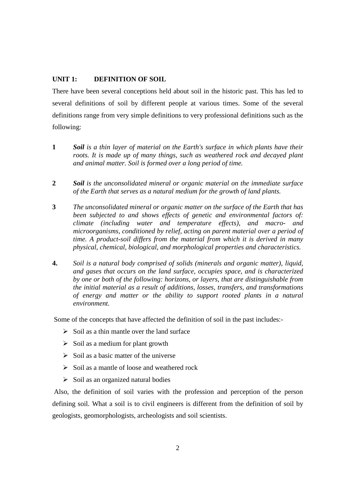#### **UNIT 1: DEFINITION OF SOIL**

There have been several conceptions held about soil in the historic past. This has led to several definitions of soil by different people at various times. Some of the several definitions range from very simple definitions to very professional definitions such as the following:

- **1** *Soil is a thin layer of material on the Earth's surface in which plants have their roots. It is made up of many things, such as weathered rock and decayed plant and animal matter. Soil is formed over a long period of time.*
- **2** *Soil is the unconsolidated mineral or organic material on the immediate surface of the Earth that serves as a natural medium for the growth of land plants.*
- **3** *The unconsolidated mineral or organic matter on the surface of the Earth that has been subjected to and shows effects of genetic and environmental factors of: climate (including water and temperature effects), and macro- and microorganisms, conditioned by relief, acting on parent material over a period of time. A product-soil differs from the material from which it is derived in many physical, chemical, biological, and morphological properties and characteristics.*
- **4.** *Soil is a natural body comprised of solids (minerals and organic matter), liquid, and gases that occurs on the land surface, occupies space, and is characterized by one or both of the following: horizons, or layers, that are distinguishable from the initial material as a result of additions, losses, transfers, and transformations of energy and matter or the ability to support rooted plants in a natural environment.*

Some of the concepts that have affected the definition of soil in the past includes:-

- $\triangleright$  Soil as a thin mantle over the land surface
- $\triangleright$  Soil as a medium for plant growth
- $\triangleright$  Soil as a basic matter of the universe
- $\triangleright$  Soil as a mantle of loose and weathered rock
- $\triangleright$  Soil as an organized natural bodies

 Also, the definition of soil varies with the profession and perception of the person defining soil. What a soil is to civil engineers is different from the definition of soil by geologists, geomorphologists, archeologists and soil scientists.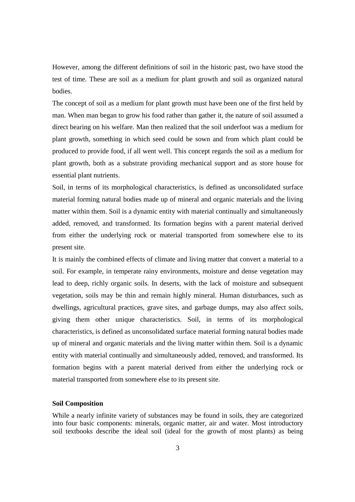However, among the different definitions of soil in the historic past, two have stood the test of time. These are soil as a medium for plant growth and soil as organized natural bodies.

The concept of soil as a medium for plant growth must have been one of the first held by man. When man began to grow his food rather than gather it, the nature of soil assumed a direct bearing on his welfare. Man then realized that the soil underfoot was a medium for plant growth, something in which seed could be sown and from which plant could be produced to provide food, if all went well. This concept regards the soil as a medium for plant growth, both as a substrate providing mechanical support and as store house for essential plant nutrients.

Soil, in terms of its morphological characteristics, is defined as unconsolidated surface material forming natural bodies made up of mineral and organic materials and the living matter within them. Soil is a dynamic entity with material continually and simultaneously added, removed, and transformed. Its formation begins with a parent material derived from either the underlying rock or material transported from somewhere else to its present site.

It is mainly the combined effects of climate and living matter that convert a material to a soil. For example, in temperate rainy environments, moisture and dense vegetation may lead to deep, richly organic soils. In deserts, with the lack of moisture and subsequent vegetation, soils may be thin and remain highly mineral. Human disturbances, such as dwellings, agricultural practices, grave sites, and garbage dumps, may also affect soils, giving them other unique characteristics. Soil, in terms of its morphological characteristics, is defined as unconsolidated surface material forming natural bodies made up of mineral and organic materials and the living matter within them. Soil is a dynamic entity with material continually and simultaneously added, removed, and transformed. Its formation begins with a parent material derived from either the underlying rock or material transported from somewhere else to its present site.

#### **Soil Composition**

While a nearly infinite variety of substances may be found in soils, they are categorized into four basic components: minerals, organic matter, air and water. Most introductory soil textbooks describe the ideal soil (ideal for the growth of most plants) as being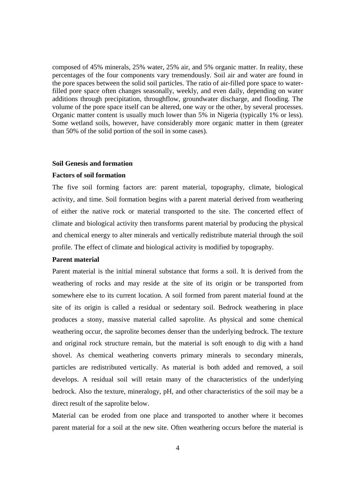composed of 45% minerals, 25% water, 25% air, and 5% organic matter. In reality, these percentages of the four components vary tremendously. Soil air and water are found in the pore spaces between the solid soil particles. The ratio of air-filled pore space to waterfilled pore space often changes seasonally, weekly, and even daily, depending on water additions through precipitation, throughflow, groundwater discharge, and flooding. The volume of the pore space itself can be altered, one way or the other, by several processes. Organic matter content is usually much lower than 5% in Nigeria (typically 1% or less). Some wetland soils, however, have considerably more organic matter in them (greater than 50% of the solid portion of the soil in some cases).

#### **Soil Genesis and formation**

#### **Factors of soil formation**

The five soil forming factors are: parent material, topography, climate, biological activity, and time. Soil formation begins with a parent material derived from weathering of either the native rock or material transported to the site. The concerted effect of climate and biological activity then transforms parent material by producing the physical and chemical energy to alter minerals and vertically redistribute material through the soil profile. The effect of climate and biological activity is modified by topography.

#### **Parent material**

Parent material is the initial mineral substance that forms a soil. It is derived from the weathering of rocks and may reside at the site of its origin or be transported from somewhere else to its current location. A soil formed from parent material found at the site of its origin is called a residual or sedentary soil. Bedrock weathering in place produces a stony, massive material called saprolite. As physical and some chemical weathering occur, the saprolite becomes denser than the underlying bedrock. The texture and original rock structure remain, but the material is soft enough to dig with a hand shovel. As chemical weathering converts primary minerals to secondary minerals, particles are redistributed vertically. As material is both added and removed, a soil develops. A residual soil will retain many of the characteristics of the underlying bedrock. Also the texture, mineralogy, pH, and other characteristics of the soil may be a direct result of the saprolite below.

Material can be eroded from one place and transported to another where it becomes parent material for a soil at the new site. Often weathering occurs before the material is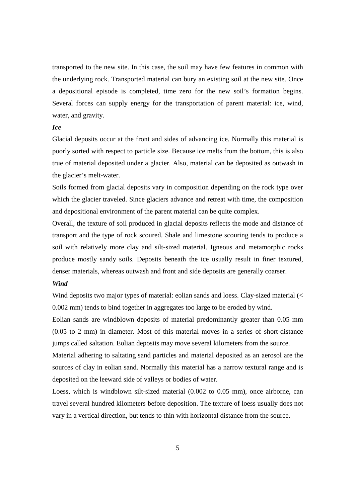transported to the new site. In this case, the soil may have few features in common with the underlying rock. Transported material can bury an existing soil at the new site. Once a depositional episode is completed, time zero for the new soil's formation begins. Several forces can supply energy for the transportation of parent material: ice, wind, water, and gravity.

#### *Ice*

Glacial deposits occur at the front and sides of advancing ice. Normally this material is poorly sorted with respect to particle size. Because ice melts from the bottom, this is also true of material deposited under a glacier. Also, material can be deposited as outwash in the glacier's melt-water.

Soils formed from glacial deposits vary in composition depending on the rock type over which the glacier traveled. Since glaciers advance and retreat with time, the composition and depositional environment of the parent material can be quite complex.

Overall, the texture of soil produced in glacial deposits reflects the mode and distance of transport and the type of rock scoured. Shale and limestone scouring tends to produce a soil with relatively more clay and silt-sized material. Igneous and metamorphic rocks produce mostly sandy soils. Deposits beneath the ice usually result in finer textured, denser materials, whereas outwash and front and side deposits are generally coarser.

#### *Wind*

Wind deposits two major types of material: eolian sands and loess. Clay-sized material (< 0.002 mm) tends to bind together in aggregates too large to be eroded by wind.

Eolian sands are windblown deposits of material predominantly greater than 0.05 mm (0.05 to 2 mm) in diameter. Most of this material moves in a series of short-distance jumps called saltation. Eolian deposits may move several kilometers from the source.

Material adhering to saltating sand particles and material deposited as an aerosol are the sources of clay in eolian sand. Normally this material has a narrow textural range and is deposited on the leeward side of valleys or bodies of water.

Loess, which is windblown silt-sized material (0.002 to 0.05 mm), once airborne, can travel several hundred kilometers before deposition. The texture of loess usually does not vary in a vertical direction, but tends to thin with horizontal distance from the source.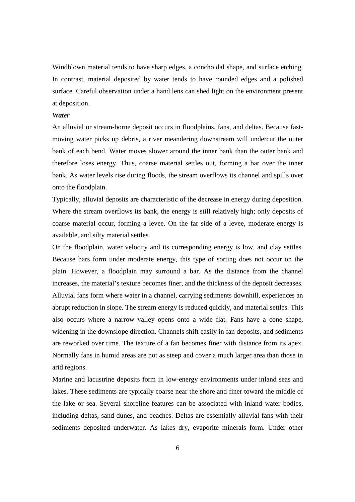Windblown material tends to have sharp edges, a conchoidal shape, and surface etching. In contrast, material deposited by water tends to have rounded edges and a polished surface. Careful observation under a hand lens can shed light on the environment present at deposition.

#### *Water*

An alluvial or stream-borne deposit occurs in floodplains, fans, and deltas. Because fastmoving water picks up debris, a river meandering downstream will undercut the outer bank of each bend. Water moves slower around the inner bank than the outer bank and therefore loses energy. Thus, coarse material settles out, forming a bar over the inner bank. As water levels rise during floods, the stream overflows its channel and spills over onto the floodplain.

Typically, alluvial deposits are characteristic of the decrease in energy during deposition. Where the stream overflows its bank, the energy is still relatively high; only deposits of coarse material occur, forming a levee. On the far side of a levee, moderate energy is available, and silty material settles.

On the floodplain, water velocity and its corresponding energy is low, and clay settles. Because bars form under moderate energy, this type of sorting does not occur on the plain. However, a floodplain may surround a bar. As the distance from the channel increases, the material's texture becomes finer, and the thickness of the deposit decreases. Alluvial fans form where water in a channel, carrying sediments downhill, experiences an abrupt reduction in slope. The stream energy is reduced quickly, and material settles. This also occurs where a narrow valley opens onto a wide flat. Fans have a cone shape, widening in the downslope direction. Channels shift easily in fan deposits, and sediments are reworked over time. The texture of a fan becomes finer with distance from its apex. Normally fans in humid areas are not as steep and cover a much larger area than those in arid regions.

Marine and lacustrine deposits form in low-energy environments under inland seas and lakes. These sediments are typically coarse near the shore and finer toward the middle of the lake or sea. Several shoreline features can be associated with inland water bodies, including deltas, sand dunes, and beaches. Deltas are essentially alluvial fans with their sediments deposited underwater. As lakes dry, evaporite minerals form. Under other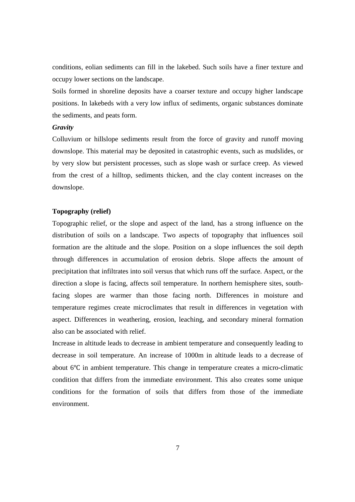conditions, eolian sediments can fill in the lakebed. Such soils have a finer texture and occupy lower sections on the landscape.

Soils formed in shoreline deposits have a coarser texture and occupy higher landscape positions. In lakebeds with a very low influx of sediments, organic substances dominate the sediments, and peats form.

#### *Gravity*

Colluvium or hillslope sediments result from the force of gravity and runoff moving downslope. This material may be deposited in catastrophic events, such as mudslides, or by very slow but persistent processes, such as slope wash or surface creep. As viewed from the crest of a hilltop, sediments thicken, and the clay content increases on the downslope.

#### **Topography (relief)**

Topographic relief, or the slope and aspect of the land, has a strong influence on the distribution of soils on a landscape. Two aspects of topography that influences soil formation are the altitude and the slope. Position on a slope influences the soil depth through differences in accumulation of erosion debris. Slope affects the amount of precipitation that infiltrates into soil versus that which runs off the surface. Aspect, or the direction a slope is facing, affects soil temperature. In northern hemisphere sites, southfacing slopes are warmer than those facing north. Differences in moisture and temperature regimes create microclimates that result in differences in vegetation with aspect. Differences in weathering, erosion, leaching, and secondary mineral formation also can be associated with relief.

Increase in altitude leads to decrease in ambient temperature and consequently leading to decrease in soil temperature. An increase of 1000m in altitude leads to a decrease of about 6℃ in ambient temperature. This change in temperature creates a micro-climatic condition that differs from the immediate environment. This also creates some unique conditions for the formation of soils that differs from those of the immediate environment.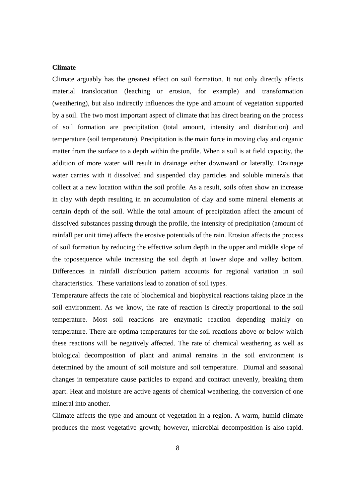#### **Climate**

Climate arguably has the greatest effect on soil formation. It not only directly affects material translocation (leaching or erosion, for example) and transformation (weathering), but also indirectly influences the type and amount of vegetation supported by a soil. The two most important aspect of climate that has direct bearing on the process of soil formation are precipitation (total amount, intensity and distribution) and temperature (soil temperature). Precipitation is the main force in moving clay and organic matter from the surface to a depth within the profile. When a soil is at field capacity, the addition of more water will result in drainage either downward or laterally. Drainage water carries with it dissolved and suspended clay particles and soluble minerals that collect at a new location within the soil profile. As a result, soils often show an increase in clay with depth resulting in an accumulation of clay and some mineral elements at certain depth of the soil. While the total amount of precipitation affect the amount of dissolved substances passing through the profile, the intensity of precipitation (amount of rainfall per unit time) affects the erosive potentials of the rain. Erosion affects the process of soil formation by reducing the effective solum depth in the upper and middle slope of the toposequence while increasing the soil depth at lower slope and valley bottom. Differences in rainfall distribution pattern accounts for regional variation in soil characteristics. These variations lead to zonation of soil types.

Temperature affects the rate of biochemical and biophysical reactions taking place in the soil environment. As we know, the rate of reaction is directly proportional to the soil temperature. Most soil reactions are enzymatic reaction depending mainly on temperature. There are optima temperatures for the soil reactions above or below which these reactions will be negatively affected. The rate of chemical weathering as well as biological decomposition of plant and animal remains in the soil environment is determined by the amount of soil moisture and soil temperature. Diurnal and seasonal changes in temperature cause particles to expand and contract unevenly, breaking them apart. Heat and moisture are active agents of chemical weathering, the conversion of one mineral into another.

Climate affects the type and amount of vegetation in a region. A warm, humid climate produces the most vegetative growth; however, microbial decomposition is also rapid.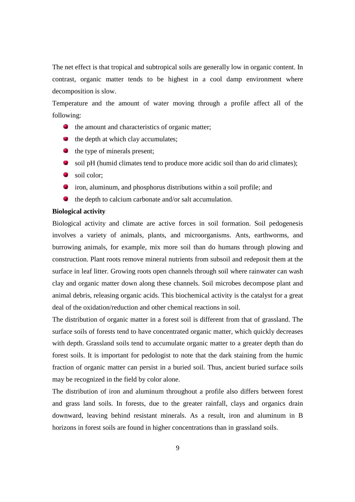The net effect is that tropical and subtropical soils are generally low in organic content. In contrast, organic matter tends to be highest in a cool damp environment where decomposition is slow.

Temperature and the amount of water moving through a profile affect all of the following:

- $\bullet$  the amount and characteristics of organic matter;
- $\bullet$  the depth at which clay accumulates;
- $\bullet$  the type of minerals present;
- soil pH (humid climates tend to produce more acidic soil than do arid climates);
- soil color:
- iron, aluminum, and phosphorus distributions within a soil profile; and
- $\bullet$ the depth to calcium carbonate and/or salt accumulation.

#### **Biological activity**

Biological activity and climate are active forces in soil formation. Soil pedogenesis involves a variety of animals, plants, and microorganisms. Ants, earthworms, and burrowing animals, for example, mix more soil than do humans through plowing and construction. Plant roots remove mineral nutrients from subsoil and redeposit them at the surface in leaf litter. Growing roots open channels through soil where rainwater can wash clay and organic matter down along these channels. Soil microbes decompose plant and animal debris, releasing organic acids. This biochemical activity is the catalyst for a great deal of the oxidation/reduction and other chemical reactions in soil.

The distribution of organic matter in a forest soil is different from that of grassland. The surface soils of forests tend to have concentrated organic matter, which quickly decreases with depth. Grassland soils tend to accumulate organic matter to a greater depth than do forest soils. It is important for pedologist to note that the dark staining from the humic fraction of organic matter can persist in a buried soil. Thus, ancient buried surface soils may be recognized in the field by color alone.

The distribution of iron and aluminum throughout a profile also differs between forest and grass land soils. In forests, due to the greater rainfall, clays and organics drain downward, leaving behind resistant minerals. As a result, iron and aluminum in B horizons in forest soils are found in higher concentrations than in grassland soils.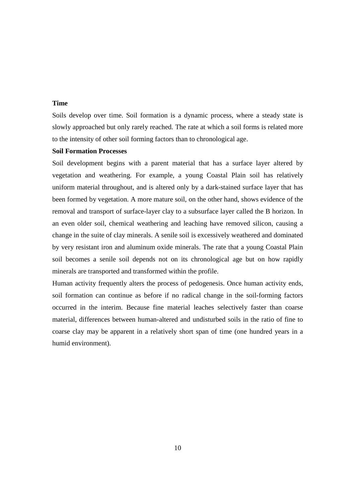#### **Time**

Soils develop over time. Soil formation is a dynamic process, where a steady state is slowly approached but only rarely reached. The rate at which a soil forms is related more to the intensity of other soil forming factors than to chronological age.

#### **Soil Formation Processes**

Soil development begins with a parent material that has a surface layer altered by vegetation and weathering. For example, a young Coastal Plain soil has relatively uniform material throughout, and is altered only by a dark-stained surface layer that has been formed by vegetation. A more mature soil, on the other hand, shows evidence of the removal and transport of surface-layer clay to a subsurface layer called the B horizon. In an even older soil, chemical weathering and leaching have removed silicon, causing a change in the suite of clay minerals. A senile soil is excessively weathered and dominated by very resistant iron and aluminum oxide minerals. The rate that a young Coastal Plain soil becomes a senile soil depends not on its chronological age but on how rapidly minerals are transported and transformed within the profile.

Human activity frequently alters the process of pedogenesis. Once human activity ends, soil formation can continue as before if no radical change in the soil-forming factors occurred in the interim. Because fine material leaches selectively faster than coarse material, differences between human-altered and undisturbed soils in the ratio of fine to coarse clay may be apparent in a relatively short span of time (one hundred years in a humid environment).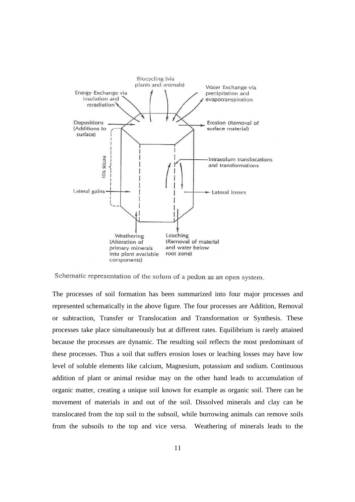

Schematic representation of the solum of a pedon as an open system.

The processes of soil formation has been summarized into four major processes and represented schematically in the above figure. The four processes are Addition, Removal or subtraction, Transfer or Translocation and Transformation or Synthesis. These processes take place simultaneously but at different rates. Equilibrium is rarely attained because the processes are dynamic. The resulting soil reflects the most predominant of these processes. Thus a soil that suffers erosion loses or leaching losses may have low level of soluble elements like calcium, Magnesium, potassium and sodium. Continuous addition of plant or animal residue may on the other hand leads to accumulation of organic matter, creating a unique soil known for example as organic soil. There can be movement of materials in and out of the soil. Dissolved minerals and clay can be translocated from the top soil to the subsoil, while burrowing animals can remove soils from the subsoils to the top and vice versa. Weathering of minerals leads to the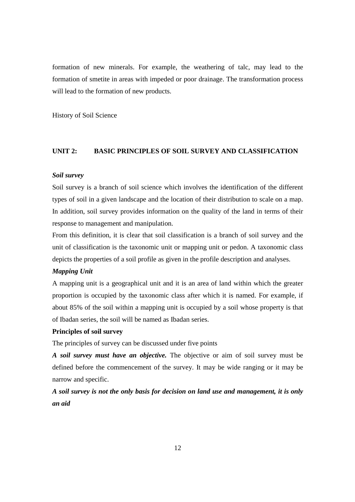formation of new minerals. For example, the weathering of talc, may lead to the formation of smetite in areas with impeded or poor drainage. The transformation process will lead to the formation of new products.

History of Soil Science

#### **UNIT 2: BASIC PRINCIPLES OF SOIL SURVEY AND CLASSIFICATION**

#### *Soil survey*

Soil survey is a branch of soil science which involves the identification of the different types of soil in a given landscape and the location of their distribution to scale on a map. In addition, soil survey provides information on the quality of the land in terms of their response to management and manipulation.

From this definition, it is clear that soil classification is a branch of soil survey and the unit of classification is the taxonomic unit or mapping unit or pedon. A taxonomic class depicts the properties of a soil profile as given in the profile description and analyses.

#### *Mapping Unit*

A mapping unit is a geographical unit and it is an area of land within which the greater proportion is occupied by the taxonomic class after which it is named. For example, if about 85% of the soil within a mapping unit is occupied by a soil whose property is that of Ibadan series, the soil will be named as Ibadan series.

#### **Principles of soil survey**

The principles of survey can be discussed under five points

*A soil survey must have an objective.* The objective or aim of soil survey must be defined before the commencement of the survey. It may be wide ranging or it may be narrow and specific.

*A soil survey is not the only basis for decision on land use and management, it is only an aid*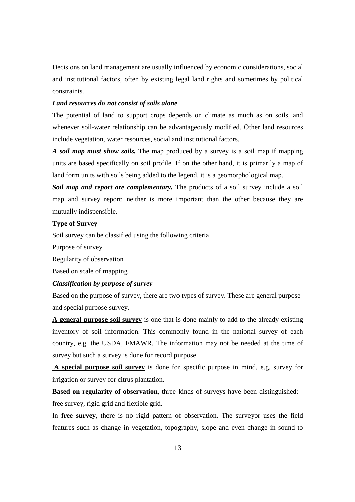Decisions on land management are usually influenced by economic considerations, social and institutional factors, often by existing legal land rights and sometimes by political constraints.

#### *Land resources do not consist of soils alone*

The potential of land to support crops depends on climate as much as on soils, and whenever soil-water relationship can be advantageously modified. Other land resources include vegetation, water resources, social and institutional factors.

*A soil map must show soils.* The map produced by a survey is a soil map if mapping units are based specifically on soil profile. If on the other hand, it is primarily a map of land form units with soils being added to the legend, it is a geomorphological map.

*Soil map and report are complementary.* The products of a soil survey include a soil map and survey report; neither is more important than the other because they are mutually indispensible.

#### **Type of Survey**

Soil survey can be classified using the following criteria

Purpose of survey

Regularity of observation

Based on scale of mapping

#### *Classification by purpose of survey*

Based on the purpose of survey, there are two types of survey. These are general purpose and special purpose survey.

**A general purpose soil survey** is one that is done mainly to add to the already existing inventory of soil information. This commonly found in the national survey of each country, e.g. the USDA, FMAWR. The information may not be needed at the time of survey but such a survey is done for record purpose.

 **A special purpose soil survey** is done for specific purpose in mind, e.g. survey for irrigation or survey for citrus plantation.

**Based on regularity of observation**, three kinds of surveys have been distinguished: free survey, rigid grid and flexible grid.

In **free survey**, there is no rigid pattern of observation. The surveyor uses the field features such as change in vegetation, topography, slope and even change in sound to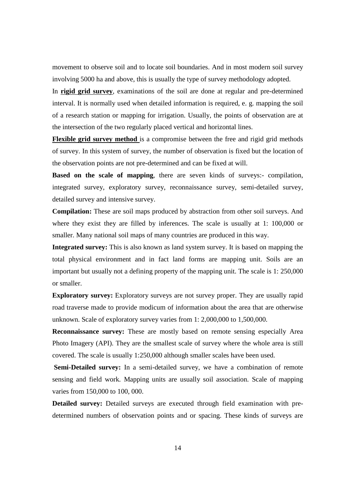movement to observe soil and to locate soil boundaries. And in most modern soil survey involving 5000 ha and above, this is usually the type of survey methodology adopted.

In **rigid grid survey**, examinations of the soil are done at regular and pre-determined interval. It is normally used when detailed information is required, e. g. mapping the soil of a research station or mapping for irrigation. Usually, the points of observation are at the intersection of the two regularly placed vertical and horizontal lines.

**Flexible grid survey method** is a compromise between the free and rigid grid methods of survey. In this system of survey, the number of observation is fixed but the location of the observation points are not pre-determined and can be fixed at will.

**Based on the scale of mapping**, there are seven kinds of surveys:- compilation, integrated survey, exploratory survey, reconnaissance survey, semi-detailed survey, detailed survey and intensive survey.

**Compilation:** These are soil maps produced by abstraction from other soil surveys. And where they exist they are filled by inferences. The scale is usually at 1: 100,000 or smaller. Many national soil maps of many countries are produced in this way.

**Integrated survey:** This is also known as land system survey. It is based on mapping the total physical environment and in fact land forms are mapping unit. Soils are an important but usually not a defining property of the mapping unit. The scale is 1: 250,000 or smaller.

**Exploratory survey:** Exploratory surveys are not survey proper. They are usually rapid road traverse made to provide modicum of information about the area that are otherwise unknown. Scale of exploratory survey varies from 1: 2,000,000 to 1,500,000.

**Reconnaissance survey:** These are mostly based on remote sensing especially Area Photo Imagery (API). They are the smallest scale of survey where the whole area is still covered. The scale is usually 1:250,000 although smaller scales have been used.

**Semi-Detailed survey:** In a semi-detailed survey, we have a combination of remote sensing and field work. Mapping units are usually soil association. Scale of mapping varies from 150,000 to 100, 000.

**Detailed survey:** Detailed surveys are executed through field examination with predetermined numbers of observation points and or spacing. These kinds of surveys are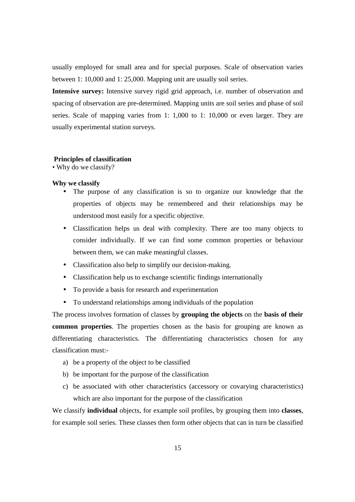usually employed for small area and for special purposes. Scale of observation varies between 1: 10,000 and 1: 25,000. Mapping unit are usually soil series.

**Intensive survey:** Intensive survey rigid grid approach, i.e. number of observation and spacing of observation are pre-determined. Mapping units are soil series and phase of soil series. Scale of mapping varies from 1: 1,000 to 1: 10,000 or even larger. They are usually experimental station surveys.

#### **Principles of classification**

*•* Why do we classify?

#### **Why we classify**

- The purpose of any classification is so to organize our knowledge that the properties of objects may be remembered and their relationships may be understood most easily for a specific objective.
- Classification helps us deal with complexity. There are too many objects to consider individually. If we can find some common properties or behaviour between them, we can make meaningful classes.
- Classification also help to simplify our decision-making.
- Classification help us to exchange scientific findings internationally
- To provide a basis for research and experimentation
- To understand relationships among individuals of the population

The process involves formation of classes by **grouping the objects** on the **basis of their common properties**. The properties chosen as the basis for grouping are known as differentiating characteristics. The differentiating characteristics chosen for any classification must:-

- a) be a property of the object to be classified
- b) be important for the purpose of the classification
- c) be associated with other characteristics (accessory or covarying characteristics) which are also important for the purpose of the classification

We classify **individual** objects, for example soil profiles, by grouping them into **classes**, for example soil series. These classes then form other objects that can in turn be classified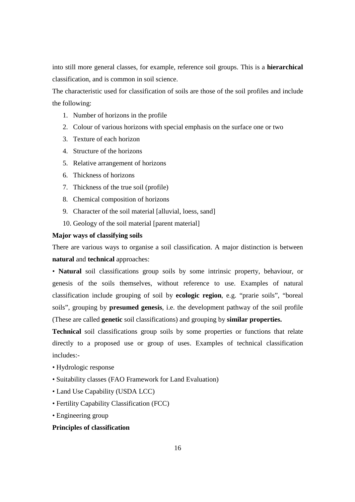into still more general classes, for example, reference soil groups. This is a **hierarchical**  classification, and is common in soil science.

The characteristic used for classification of soils are those of the soil profiles and include the following:

- 1. Number of horizons in the profile
- 2. Colour of various horizons with special emphasis on the surface one or two
- 3. Texture of each horizon
- 4. Structure of the horizons
- 5. Relative arrangement of horizons
- 6. Thickness of horizons
- 7. Thickness of the true soil (profile)
- 8. Chemical composition of horizons
- 9. Character of the soil material [alluvial, loess, sand]
- 10. Geology of the soil material [parent material]

#### **Major ways of classifying soils**

There are various ways to organise a soil classification. A major distinction is between **natural and <b>technical** approaches:

*•* **Natural** soil classifications group soils by some intrinsic property, behaviour, or genesis of the soils themselves, without reference to use. Examples of natural classification include grouping of soil by **ecologic region**, e.g. "prarie soils", "boreal soils", grouping by **presumed genesis**, i.e. the development pathway of the soil profile (These are called **genetic** soil classifications) and grouping by **similar properties.**

**Technical** soil classifications group soils by some properties or functions that relate directly to a proposed use or group of uses. Examples of technical classification includes:-

- Hydrologic response
- Suitability classes (FAO Framework for Land Evaluation)
- Land Use Capability (USDA LCC)
- Fertility Capability Classification (FCC)
- Engineering group

#### **Principles of classification**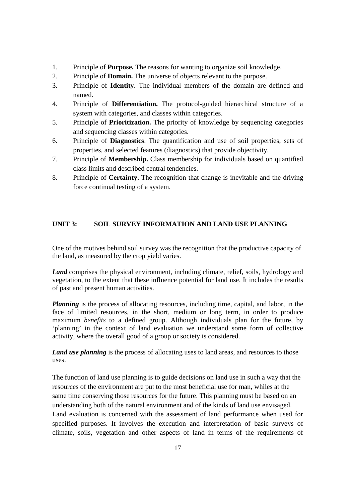- 1. Principle of **Purpose.** The reasons for wanting to organize soil knowledge.
- 2. Principle of **Domain.** The universe of objects relevant to the purpose.
- 3. Principle of **Identity**. The individual members of the domain are defined and named.
- 4. Principle of **Differentiation.** The protocol-guided hierarchical structure of a system with categories, and classes within categories.
- 5. Principle of **Prioritization.** The priority of knowledge by sequencing categories and sequencing classes within categories.
- 6. Principle of **Diagnostics**. The quantification and use of soil properties, sets of properties, and selected features (diagnostics) that provide objectivity.
- 7. Principle of **Membership.** Class membership for individuals based on quantified class limits and described central tendencies.
- 8. Principle of **Certainty.** The recognition that change is inevitable and the driving force continual testing of a system.

#### **UNIT 3: SOIL SURVEY INFORMATION AND LAND USE PLANNING**

One of the motives behind soil survey was the recognition that the productive capacity of the land, as measured by the crop yield varies.

*Land* comprises the physical environment, including climate, relief, soils, hydrology and vegetation, to the extent that these influence potential for land use. It includes the results of past and present human activities.

*Planning* is the process of allocating resources, including time, capital, and labor, in the face of limited resources, in the short, medium or long term, in order to produce maximum *benefits* to a defined group. Although individuals plan for the future, by 'planning' in the context of land evaluation we understand some form of collective activity, where the overall good of a group or society is considered.

*Land use planning* is the process of allocating uses to land areas, and resources to those uses.

The function of land use planning is to guide decisions on land use in such a way that the resources of the environment are put to the most beneficial use for man, whiles at the same time conserving those resources for the future. This planning must be based on an understanding both of the natural environment and of the kinds of land use envisaged. Land evaluation is concerned with the assessment of land performance when used for specified purposes. It involves the execution and interpretation of basic surveys of climate, soils, vegetation and other aspects of land in terms of the requirements of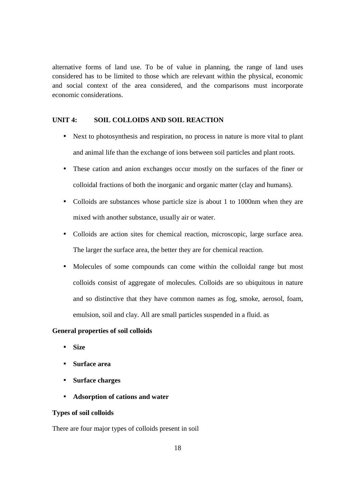alternative forms of land use. To be of value in planning, the range of land uses considered has to be limited to those which are relevant within the physical, economic and social context of the area considered, and the comparisons must incorporate economic considerations.

#### **UNIT 4: SOIL COLLOIDS AND SOIL REACTION**

- Next to photosynthesis and respiration, no process in nature is more vital to plant and animal life than the exchange of ions between soil particles and plant roots.
- These cation and anion exchanges occur mostly on the surfaces of the finer or colloidal fractions of both the inorganic and organic matter (clay and humans).
- Colloids are substances whose particle size is about 1 to 1000nm when they are mixed with another substance, usually air or water.
- Colloids are action sites for chemical reaction, microscopic, large surface area. The larger the surface area, the better they are for chemical reaction.
- Molecules of some compounds can come within the colloidal range but most colloids consist of aggregate of molecules. Colloids are so ubiquitous in nature and so distinctive that they have common names as fog, smoke, aerosol, foam, emulsion, soil and clay. All are small particles suspended in a fluid. as

#### **General properties of soil colloids**

- **Size**
- **Surface area**
- **Surface charges**
- **Adsorption of cations and water**

#### **Types of soil colloids**

There are four major types of colloids present in soil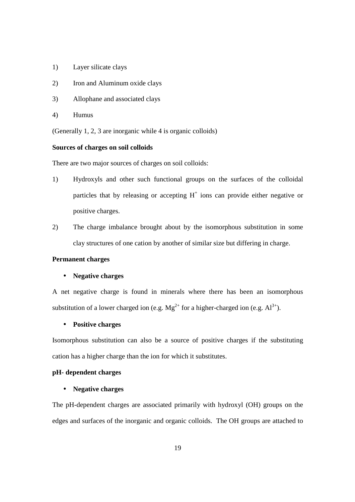- 1) Layer silicate clays
- 2) Iron and Aluminum oxide clays
- 3) Allophane and associated clays
- 4) Humus

(Generally 1, 2, 3 are inorganic while 4 is organic colloids)

#### **Sources of charges on soil colloids**

There are two major sources of charges on soil colloids:

- 1) Hydroxyls and other such functional groups on the surfaces of the colloidal particles that by releasing or accepting  $H^+$  ions can provide either negative or positive charges.
- 2) The charge imbalance brought about by the isomorphous substitution in some clay structures of one cation by another of similar size but differing in charge.

#### **Permanent charges**

#### • **Negative charges**

A net negative charge is found in minerals where there has been an isomorphous substitution of a lower charged ion (e.g.  $Mg^{2+}$  for a higher-charged ion (e.g.  $Al^{3+}$ ).

#### • **Positive charges**

Isomorphous substitution can also be a source of positive charges if the substituting cation has a higher charge than the ion for which it substitutes.

#### **pH- dependent charges**

#### • **Negative charges**

The pH-dependent charges are associated primarily with hydroxyl (OH) groups on the edges and surfaces of the inorganic and organic colloids. The OH groups are attached to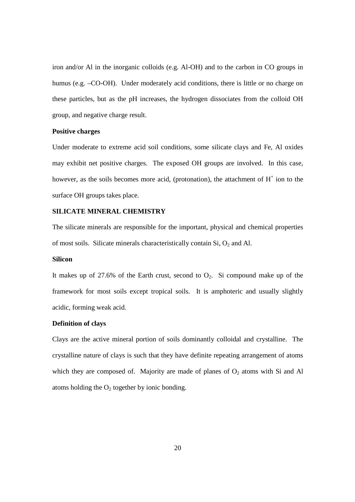iron and/or Al in the inorganic colloids (e.g. Al-OH) and to the carbon in CO groups in humus (e.g. -CO-OH). Under moderately acid conditions, there is little or no charge on these particles, but as the pH increases, the hydrogen dissociates from the colloid OH group, and negative charge result.

#### **Positive charges**

Under moderate to extreme acid soil conditions, some silicate clays and Fe, Al oxides may exhibit net positive charges. The exposed OH groups are involved. In this case, however, as the soils becomes more acid, (protonation), the attachment of  $H^+$  ion to the surface OH groups takes place.

#### **SILICATE MINERAL CHEMISTRY**

The silicate minerals are responsible for the important, physical and chemical properties of most soils. Silicate minerals characteristically contain  $Si$ ,  $O_2$  and Al.

#### **Silicon**

It makes up of  $27.6\%$  of the Earth crust, second to  $O_2$ . Si compound make up of the framework for most soils except tropical soils. It is amphoteric and usually slightly acidic, forming weak acid.

#### **Definition of clays**

Clays are the active mineral portion of soils dominantly colloidal and crystalline. The crystalline nature of clays is such that they have definite repeating arrangement of atoms which they are composed of. Majority are made of planes of  $O<sub>2</sub>$  atoms with Si and Al atoms holding the  $O_2$  together by ionic bonding.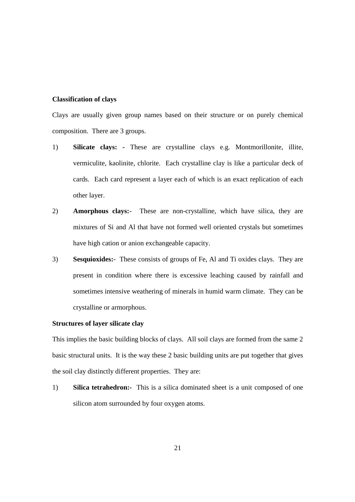#### **Classification of clays**

Clays are usually given group names based on their structure or on purely chemical composition. There are 3 groups.

- 1) **Silicate clays:** These are crystalline clays e.g. Montmorillonite, illite, vermiculite, kaolinite, chlorite. Each crystalline clay is like a particular deck of cards. Each card represent a layer each of which is an exact replication of each other layer.
- 2) **Amorphous clays:**-These are non-crystalline, which have silica, they are mixtures of Si and Al that have not formed well oriented crystals but sometimes have high cation or anion exchangeable capacity.
- 3) **Sesquioxides:**-These consists of groups of Fe, Al and Ti oxides clays. They are present in condition where there is excessive leaching caused by rainfall and sometimes intensive weathering of minerals in humid warm climate. They can be crystalline or armorphous.

#### **Structures of layer silicate clay**

This implies the basic building blocks of clays. All soil clays are formed from the same 2 basic structural units. It is the way these 2 basic building units are put together that gives the soil clay distinctly different properties. They are:

1) **Silica tetrahedron:-** This is a silica dominated sheet is a unit composed of one silicon atom surrounded by four oxygen atoms.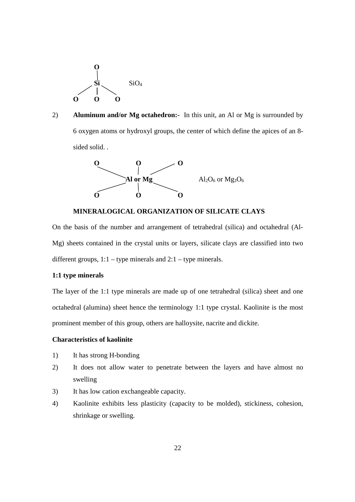

2) **Aluminum and/or Mg octahedron:-** In this unit, an Al or Mg is surrounded by 6 oxygen atoms or hydroxyl groups, the center of which define the apices of an 8 sided solid. .



**MINERALOGICAL ORGANIZATION OF SILICATE CLAYS**

On the basis of the number and arrangement of tetrahedral (silica) and octahedral (Al-Mg) sheets contained in the crystal units or layers, silicate clays are classified into two different groups,  $1:1 -$  type minerals and  $2:1 -$  type minerals.

#### **1:1 type minerals**

The layer of the 1:1 type minerals are made up of one tetrahedral (silica) sheet and one octahedral (alumina) sheet hence the terminology 1:1 type crystal. Kaolinite is the most prominent member of this group, others are halloysite, nacrite and dickite.

#### **Characteristics of kaolinite**

- 1) It has strong H-bonding
- 2) It does not allow water to penetrate between the layers and have almost no swelling
- 3) It has low cation exchangeable capacity.
- 4) Kaolinite exhibits less plasticity (capacity to be molded), stickiness, cohesion, shrinkage or swelling.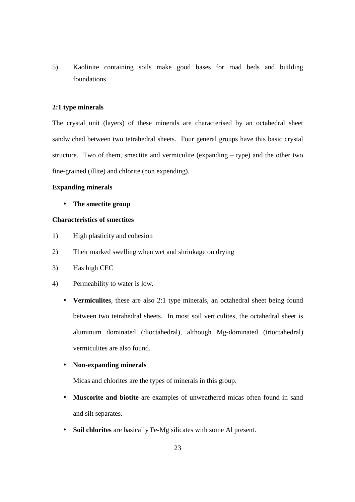5) Kaolinite containing soils make good bases for road beds and building foundations.

#### **2:1 type minerals**

The crystal unit (layers) of these minerals are characterised by an octahedral sheet sandwiched between two tetrahedral sheets. Four general groups have this basic crystal structure. Two of them, smectite and vermiculite (expanding – type) and the other two fine-grained (illite) and chlorite (non expending).

#### **Expanding minerals**

• **The smectite group**

#### **Characteristics of smectites**

- 1) High plasticity and cohesion
- 2) Their marked swelling when wet and shrinkage on drying
- 3) Has high CEC
- 4) Permeability to water is low.
	- **Vermiculites**, these are also 2:1 type minerals, an octahedral sheet being found between two tetrahedral sheets. In most soil verticulites, the octahedral sheet is aluminum dominated (dioctahedral), although Mg-dominated (trioctahedral) vermiculites are also found.

#### • **Non-expanding minerals**

Micas and chlorites are the types of minerals in this group.

- **Muscorite and biotite** are examples of unweathered micas often found in sand and silt separates.
- **Soil chlorites** are basically Fe-Mg silicates with some Al present.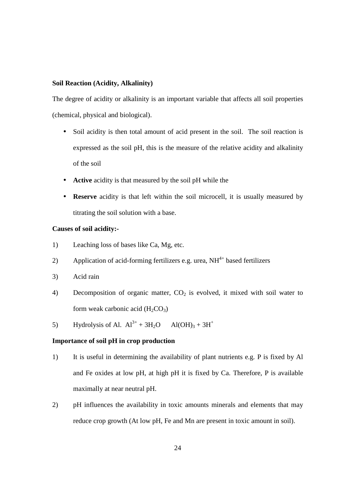#### **Soil Reaction (Acidity, Alkalinity)**

The degree of acidity or alkalinity is an important variable that affects all soil properties (chemical, physical and biological).

- Soil acidity is then total amount of acid present in the soil. The soil reaction is expressed as the soil pH, this is the measure of the relative acidity and alkalinity of the soil
- **Active** acidity is that measured by the soil pH while the
- **Reserve** acidity is that left within the soil microcell, it is usually measured by titrating the soil solution with a base.

#### **Causes of soil acidity:-**

- 1) Leaching loss of bases like Ca, Mg, etc.
- 2) Application of acid-forming fertilizers e.g. urea,  $NH<sup>4+</sup>$  based fertilizers
- 3) Acid rain
- 4) Decomposition of organic matter,  $CO<sub>2</sub>$  is evolved, it mixed with soil water to form weak carbonic acid  $(H_2CO_3)$
- 5) Hydrolysis of Al.  $Al^{3+} + 3H_2O$  Al(OH)<sub>3</sub> + 3H<sup>+</sup>

#### **Importance of soil pH in crop production**

- 1) It is useful in determining the availability of plant nutrients e.g. P is fixed by Al and Fe oxides at low pH, at high pH it is fixed by Ca. Therefore, P is available maximally at near neutral pH.
- 2) pH influences the availability in toxic amounts minerals and elements that may reduce crop growth (At low pH, Fe and Mn are present in toxic amount in soil).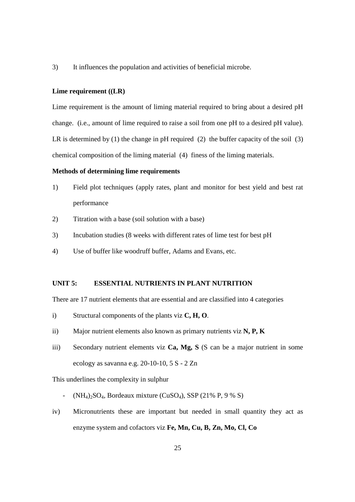3) It influences the population and activities of beneficial microbe.

#### **Lime requirement ((LR)**

Lime requirement is the amount of liming material required to bring about a desired pH change. (i.e., amount of lime required to raise a soil from one pH to a desired pH value). LR is determined by (1) the change in pH required (2) the buffer capacity of the soil (3) chemical composition of the liming material (4) finess of the liming materials.

#### **Methods of determining lime requirements**

- 1) Field plot techniques (apply rates, plant and monitor for best yield and best rat performance
- 2) Titration with a base (soil solution with a base)
- 3) Incubation studies (8 weeks with different rates of lime test for best pH
- 4) Use of buffer like woodruff buffer, Adams and Evans, etc.

#### **UNIT 5: ESSENTIAL NUTRIENTS IN PLANT NUTRITION**

There are 17 nutrient elements that are essential and are classified into 4 categories

- i) Structural components of the plants viz **C, H, O**.
- ii) Major nutrient elements also known as primary nutrients viz **N, P, K**
- iii) Secondary nutrient elements viz **Ca, Mg, S** (S can be a major nutrient in some ecology as savanna e.g. 20-10-10, 5 S - 2 Zn

This underlines the complexity in sulphur

- $(NH_4)_2SO_4$ , Bordeaux mixture (CuSO<sub>4</sub>), SSP (21% P, 9 % S)
- iv) Micronutrients these are important but needed in small quantity they act as enzyme system and cofactors viz **Fe, Mn, Cu, B, Zn, Mo, Cl, Co**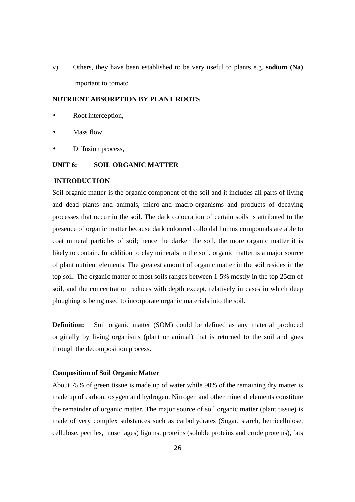v) Others, they have been established to be very useful to plants e.g. **sodium (Na)** important to tomato

#### **NUTRIENT ABSORPTION BY PLANT ROOTS**

- Root interception,
- Mass flow.
- Diffusion process,

#### **UNIT 6: SOIL ORGANIC MATTER**

#### **INTRODUCTION**

Soil organic matter is the organic component of the soil and it includes all parts of living and dead plants and animals, micro-and macro-organisms and products of decaying processes that occur in the soil. The dark colouration of certain soils is attributed to the presence of organic matter because dark coloured colloidal humus compounds are able to coat mineral particles of soil; hence the darker the soil, the more organic matter it is likely to contain. In addition to clay minerals in the soil, organic matter is a major source of plant nutrient elements. The greatest amount of organic matter in the soil resides in the top soil. The organic matter of most soils ranges between 1-5% mostly in the top 25cm of soil, and the concentration reduces with depth except, relatively in cases in which deep ploughing is being used to incorporate organic materials into the soil.

**Definition:** Soil organic matter (SOM) could be defined as any material produced originally by living organisms (plant or animal) that is returned to the soil and goes through the decomposition process.

#### **Composition of Soil Organic Matter**

About 75% of green tissue is made up of water while 90% of the remaining dry matter is made up of carbon, oxygen and hydrogen. Nitrogen and other mineral elements constitute the remainder of organic matter. The major source of soil organic matter (plant tissue) is made of very complex substances such as carbohydrates (Sugar, starch, hemicellulose, cellulose, pectiles, muscilages) lignins, proteins (soluble proteins and crude proteins), fats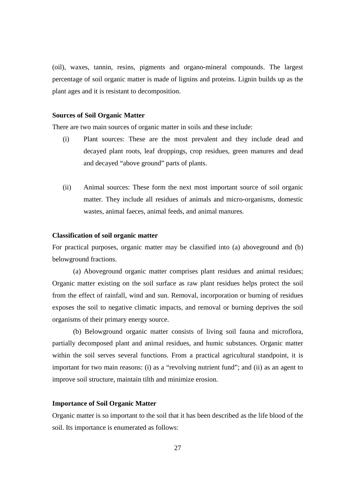(oil), waxes, tannin, resins, pigments and organo-mineral compounds. The largest percentage of soil organic matter is made of lignins and proteins. Lignin builds up as the plant ages and it is resistant to decomposition.

#### **Sources of Soil Organic Matter**

There are two main sources of organic matter in soils and these include:

- (i) Plant sources: These are the most prevalent and they include dead and decayed plant roots, leaf droppings, crop residues, green manures and dead and decayed "above ground" parts of plants.
- (ii) Animal sources: These form the next most important source of soil organic matter. They include all residues of animals and micro-organisms, domestic wastes, animal faeces, animal feeds, and animal manures.

#### **Classification of soil organic matter**

For practical purposes, organic matter may be classified into (a) aboveground and (b) belowground fractions.

 (a) Aboveground organic matter comprises plant residues and animal residues; Organic matter existing on the soil surface as raw plant residues helps protect the soil from the effect of rainfall, wind and sun. Removal, incorporation or burning of residues exposes the soil to negative climatic impacts, and removal or burning deprives the soil organisms of their primary energy source.

 (b) Belowground organic matter consists of living soil fauna and microflora, partially decomposed plant and animal residues, and humic substances. Organic matter within the soil serves several functions. From a practical agricultural standpoint, it is important for two main reasons: (i) as a "revolving nutrient fund"; and (ii) as an agent to improve soil structure, maintain tilth and minimize erosion.

#### **Importance of Soil Organic Matter**

Organic matter is so important to the soil that it has been described as the life blood of the soil. Its importance is enumerated as follows: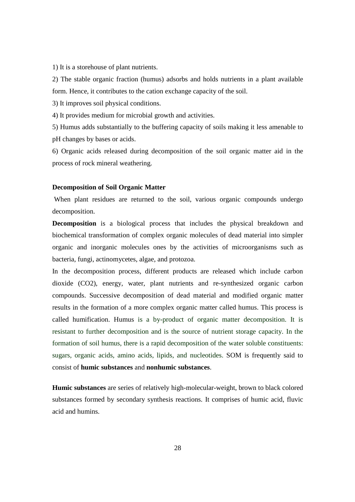1) It is a storehouse of plant nutrients.

2) The stable organic fraction (humus) adsorbs and holds nutrients in a plant available form. Hence, it contributes to the cation exchange capacity of the soil.

3) It improves soil physical conditions.

4) It provides medium for microbial growth and activities.

5) Humus adds substantially to the buffering capacity of soils making it less amenable to pH changes by bases or acids.

6) Organic acids released during decomposition of the soil organic matter aid in the process of rock mineral weathering.

#### **Decomposition of Soil Organic Matter**

 When plant residues are returned to the soil, various organic compounds undergo decomposition.

**Decomposition** is a biological process that includes the physical breakdown and biochemical transformation of complex organic molecules of dead material into simpler organic and inorganic molecules ones by the activities of microorganisms such as bacteria, fungi, actinomycetes, algae, and protozoa.

In the decomposition process, different products are released which include carbon dioxide (CO2), energy, water, plant nutrients and re-synthesized organic carbon compounds. Successive decomposition of dead material and modified organic matter results in the formation of a more complex organic matter called humus. This process is called humification. Humus is a by-product of organic matter decomposition. It is resistant to further decomposition and is the source of nutrient storage capacity. In the formation of soil humus, there is a rapid decomposition of the water soluble constituents: sugars, organic acids, amino acids, lipids, and nucleotides. SOM is frequently said to consist of **humic substances** and **nonhumic substances**.

**Humic substances** are series of relatively high-molecular-weight, brown to black colored substances formed by secondary synthesis reactions. It comprises of humic acid, fluvic acid and humins.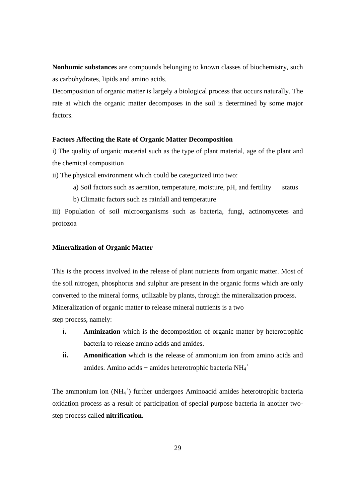**Nonhumic substances** are compounds belonging to known classes of biochemistry, such as carbohydrates, lipids and amino acids.

Decomposition of organic matter is largely a biological process that occurs naturally. The rate at which the organic matter decomposes in the soil is determined by some major factors.

#### **Factors Affecting the Rate of Organic Matter Decomposition**

i) The quality of organic material such as the type of plant material, age of the plant and the chemical composition

ii) The physical environment which could be categorized into two:

- a) Soil factors such as aeration, temperature, moisture, pH, and fertility status
- b) Climatic factors such as rainfall and temperature

iii) Population of soil microorganisms such as bacteria, fungi, actinomycetes and protozoa

#### **Mineralization of Organic Matter**

This is the process involved in the release of plant nutrients from organic matter. Most of the soil nitrogen, phosphorus and sulphur are present in the organic forms which are only converted to the mineral forms, utilizable by plants, through the mineralization process. Mineralization of organic matter to release mineral nutrients is a two step process, namely:

- **i. Aminization** which is the decomposition of organic matter by heterotrophic bacteria to release amino acids and amides.
- **ii. Amonification** which is the release of ammonium ion from amino acids and amides. Amino acids + amides heterotrophic bacteria  $NH_4^+$

The ammonium ion  $(NH_4^+)$  further undergoes Aminoacid amides heterotrophic bacteria oxidation process as a result of participation of special purpose bacteria in another twostep process called **nitrification.**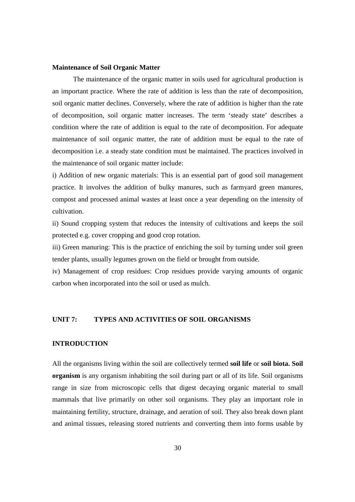#### **Maintenance of Soil Organic Matter**

 The maintenance of the organic matter in soils used for agricultural production is an important practice. Where the rate of addition is less than the rate of decomposition, soil organic matter declines. Conversely, where the rate of addition is higher than the rate of decomposition, soil organic matter increases. The term 'steady state' describes a condition where the rate of addition is equal to the rate of decomposition. For adequate maintenance of soil organic matter, the rate of addition must be equal to the rate of decomposition i.e. a steady state condition must be maintained. The practices involved in the maintenance of soil organic matter include:

i) Addition of new organic materials: This is an essential part of good soil management practice. It involves the addition of bulky manures, such as farmyard green manures, compost and processed animal wastes at least once a year depending on the intensity of cultivation.

ii) Sound cropping system that reduces the intensity of cultivations and keeps the soil protected e.g. cover cropping and good crop rotation.

iii) Green manuring: This is the practice of enriching the soil by turning under soil green tender plants, usually legumes grown on the field or brought from outside.

iv) Management of crop residues: Crop residues provide varying amounts of organic carbon when incorporated into the soil or used as mulch.

#### **UNIT 7: TYPES AND ACTIVITIES OF SOIL ORGANISMS**

#### **INTRODUCTION**

All the organisms living within the soil are collectively termed **soil life** or **soil biota. Soil organism** is any organism inhabiting the soil during part or all of its life. Soil organisms range in size from microscopic cells that digest decaying organic material to small mammals that live primarily on other soil organisms. They play an important role in maintaining fertility, structure, drainage, and aeration of soil. They also break down plant and animal tissues, releasing stored nutrients and converting them into forms usable by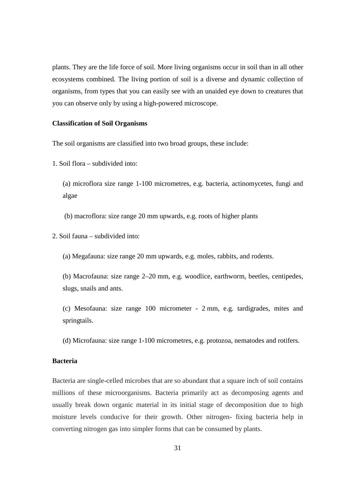plants. They are the life force of soil. More living organisms occur in soil than in all other ecosystems combined. The living portion of soil is a diverse and dynamic collection of organisms, from types that you can easily see with an unaided eye down to creatures that you can observe only by using a high-powered microscope.

#### **Classification of Soil Organisms**

The soil organisms are classified into two broad groups, these include:

1. Soil flora – subdivided into:

(a) microflora size range 1-100 micrometres, e.g. bacteria, actinomycetes, fungi and algae

(b) macroflora: size range 20 mm upwards, e.g. roots of higher plants

2. Soil fauna – subdivided into:

(a) Megafauna: size range 20 mm upwards, e.g. moles, rabbits, and rodents.

(b) Macrofauna: size range 2–20 mm, e.g. woodlice, earthworm, beetles, centipedes, slugs, snails and ants.

(c) Mesofauna: size range 100 micrometer - 2 mm, e.g. tardigrades, mites and springtails.

(d) Microfauna: size range 1-100 micrometres, e.g. protozoa, nematodes and rotifers.

#### **Bacteria**

Bacteria are single-celled microbes that are so abundant that a square inch of soil contains millions of these microorganisms. Bacteria primarily act as decomposing agents and usually break down organic material in its initial stage of decomposition due to high moisture levels conducive for their growth. Other nitrogen- fixing bacteria help in converting nitrogen gas into simpler forms that can be consumed by plants.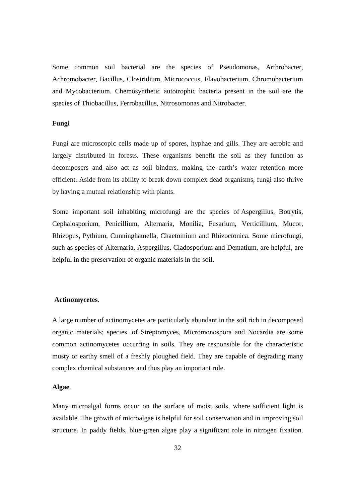Some common soil bacterial are the species of Pseudomonas, Arthrobacter, Achromobacter, Bacillus, Clostridium, Micrococcus, Flavobacterium, Chromobacterium and Mycobacterium. Chemosynthetic autotrophic bacteria present in the soil are the species of Thiobacillus, Ferrobacillus, Nitrosomonas and Nitrobacter.

#### **Fungi**

Fungi are microscopic cells made up of spores, hyphae and gills. They are aerobic and largely distributed in forests. These organisms benefit the soil as they function as decomposers and also act as soil binders, making the earth's water retention more efficient. Aside from its ability to break down complex dead organisms, fungi also thrive by having a mutual relationship with plants.

Some important soil inhabiting microfungi are the species of Aspergillus, Botrytis, Cephalosporium, Penicillium, Alternaria, Monilia, Fusarium, Verticillium, Mucor, Rhizopus, Pythium, Cunninghamella, Chaetomium and Rhizoctonica. Some microfungi, such as species of Alternaria, Aspergillus, Cladosporium and Dematium, are helpful, are helpful in the preservation of organic materials in the soil.

#### **Actinomycetes**.

A large number of actinomycetes are particularly abundant in the soil rich in decomposed organic materials; species .of Streptomyces, Micromonospora and Nocardia are some common actinomycetes occurring in soils. They are responsible for the characteristic musty or earthy smell of a freshly ploughed field. They are capable of degrading many complex chemical substances and thus play an important role.

#### **Algae**.

Many microalgal forms occur on the surface of moist soils, where sufficient light is available. The growth of microalgae is helpful for soil conservation and in improving soil structure. In paddy fields, blue-green algae play a significant role in nitrogen fixation.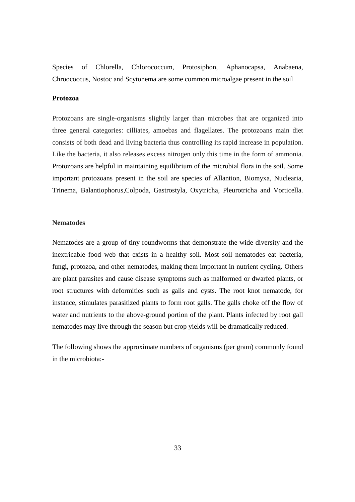Species of Chlorella, Chlorococcum, Protosiphon, Aphanocapsa, Anabaena, Chroococcus, Nostoc and Scytonema are some common microalgae present in the soil

#### **Protozoa**

Protozoans are single-organisms slightly larger than microbes that are organized into three general categories: cilliates, amoebas and flagellates. The protozoans main diet consists of both dead and living bacteria thus controlling its rapid increase in population. Like the bacteria, it also releases excess nitrogen only this time in the form of ammonia. Protozoans are helpful in maintaining equilibrium of the microbial flora in the soil. Some important protozoans present in the soil are species of Allantion, Biomyxa, Nuclearia, Trinema, Balantiophorus,Colpoda, Gastrostyla, Oxytricha, Pleurotricha and Vorticella.

#### **Nematodes**

Nematodes are a group of tiny roundworms that demonstrate the wide diversity and the inextricable food web that exists in a healthy soil. Most soil nematodes eat bacteria, fungi, protozoa, and other nematodes, making them important in nutrient cycling. Others are plant parasites and cause disease symptoms such as malformed or dwarfed plants, or root structures with deformities such as galls and cysts. The root knot nematode, for instance, stimulates parasitized plants to form root galls. The galls choke off the flow of water and nutrients to the above-ground portion of the plant. Plants infected by root gall nematodes may live through the season but crop yields will be dramatically reduced.

The following shows the approximate numbers of organisms (per gram) commonly found in the microbiota:-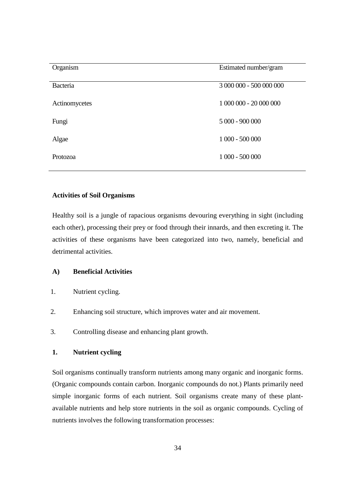| Organism      | Estimated number/gram   |
|---------------|-------------------------|
| Bacteria      | 3 000 000 - 500 000 000 |
| Actinomycetes | 1 000 000 - 20 000 000  |
| Fungi         | $5000 - 900000$         |
| Algae         | $1000 - 500000$         |
| Protozoa      | $1000 - 500000$         |

#### **Activities of Soil Organisms**

Healthy soil is a jungle of rapacious organisms devouring everything in sight (including each other), processing their prey or food through their innards, and then excreting it. The activities of these organisms have been categorized into two, namely, beneficial and detrimental activities.

#### **A) Beneficial Activities**

- 1. Nutrient cycling.
- 2. Enhancing soil structure, which improves water and air movement.
- 3. Controlling disease and enhancing plant growth.

#### **1. Nutrient cycling**

Soil organisms continually transform nutrients among many organic and inorganic forms. (Organic compounds contain carbon. Inorganic compounds do not.) Plants primarily need simple inorganic forms of each nutrient. Soil organisms create many of these plantavailable nutrients and help store nutrients in the soil as organic compounds. Cycling of nutrients involves the following transformation processes: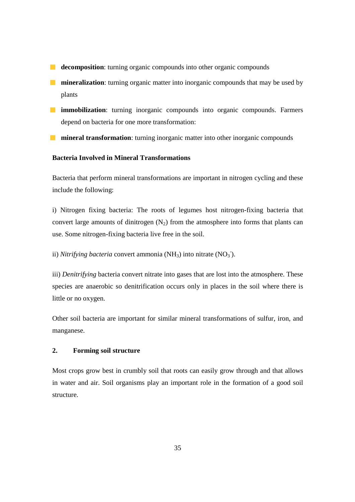- **decomposition**: turning organic compounds into other organic compounds
- **mineralization**: turning organic matter into inorganic compounds that may be used by plants
- **immobilization**: turning inorganic compounds into organic compounds. Farmers depend on bacteria for one more transformation:
- **number in the interval transformation**: turning inorganic matter into other inorganic compounds

#### **Bacteria Involved in Mineral Transformations**

Bacteria that perform mineral transformations are important in nitrogen cycling and these include the following:

i) Nitrogen fixing bacteria: The roots of legumes host nitrogen-fixing bacteria that convert large amounts of dinitrogen  $(N_2)$  from the atmosphere into forms that plants can use. Some nitrogen-fixing bacteria live free in the soil.

ii) *Nitrifying bacteria* convert ammonia (NH<sub>3</sub>) into nitrate (NO<sub>3</sub>).

iii) *Denitrifying* bacteria convert nitrate into gases that are lost into the atmosphere. These species are anaerobic so denitrification occurs only in places in the soil where there is little or no oxygen.

Other soil bacteria are important for similar mineral transformations of sulfur, iron, and manganese.

#### **2. Forming soil structure**

Most crops grow best in crumbly soil that roots can easily grow through and that allows in water and air. Soil organisms play an important role in the formation of a good soil structure.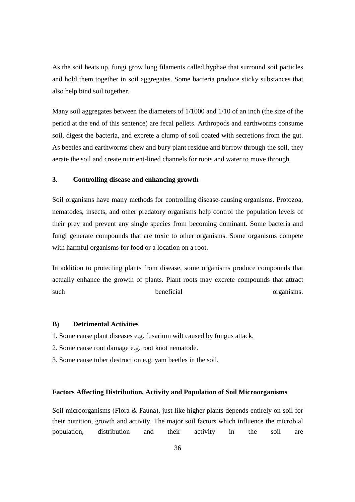As the soil heats up, fungi grow long filaments called hyphae that surround soil particles and hold them together in soil aggregates. Some bacteria produce sticky substances that also help bind soil together.

Many soil aggregates between the diameters of 1/1000 and 1/10 of an inch (the size of the period at the end of this sentence) are fecal pellets. Arthropods and earthworms consume soil, digest the bacteria, and excrete a clump of soil coated with secretions from the gut. As beetles and earthworms chew and bury plant residue and burrow through the soil, they aerate the soil and create nutrient-lined channels for roots and water to move through.

#### **3. Controlling disease and enhancing growth**

Soil organisms have many methods for controlling disease-causing organisms. Protozoa, nematodes, insects, and other predatory organisms help control the population levels of their prey and prevent any single species from becoming dominant. Some bacteria and fungi generate compounds that are toxic to other organisms. Some organisms compete with harmful organisms for food or a location on a root.

In addition to protecting plants from disease, some organisms produce compounds that actually enhance the growth of plants. Plant roots may excrete compounds that attract such beneficial beneficial organisms.

#### **B) Detrimental Activities**

1. Some cause plant diseases e.g. fusarium wilt caused by fungus attack.

- 2. Some cause root damage e.g. root knot nematode.
- 3. Some cause tuber destruction e.g. yam beetles in the soil.

#### **Factors Affecting Distribution, Activity and Population of Soil Microorganisms**

Soil microorganisms (Flora & Fauna), just like higher plants depends entirely on soil for their nutrition, growth and activity. The major soil factors which influence the microbial population, distribution and their activity in the soil are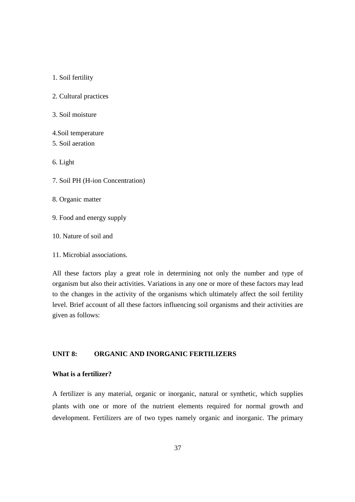1. Soil fertility

2. Cultural practices

3. Soil moisture

4.Soil temperature 5. Soil aeration

6. Light

7. Soil PH (H-ion Concentration)

8. Organic matter

9. Food and energy supply

10. Nature of soil and

11. Microbial associations.

All these factors play a great role in determining not only the number and type of organism but also their activities. Variations in any one or more of these to the changes in the activity of the organisms which ultimately affect the soil fertility level. Brief account of all these factors influencing soil organisms and their activities are given as follows: ion Concentration)<br>
tter<br>
aergy supply<br>
soil and<br>
associations.<br>
ors play a great role in determining not only the<br>
sin the activities. Variations in any one or more<br>
in the activity of the organisms which ultimate organism but also their activities. Variations in any one or more of these factors may lead<br>to the changes in the activity of the organisms which ultimately affect the soil fertility<br>level. Brief account of all these facto

#### **UNIT 8: ORGANIC AND INORGANIC FER FERTILIZERS**

#### **What is a fertilizer?**

A fertilizer is any material, organic or inorganic, natural or synthetic, which supplies plants with one or more of the nutrient elements required for normal growth and development. Fertilizers are of two types namely organic and inorganic. The primary sms which ultimately affect the<br>tencing soil organisms and their a<br>NIC FERTILIZERS<br>NIC FERTILIZERS<br>organic, natural or synthetic, wh<br>elements required for normal<br>namely organic and inorganic.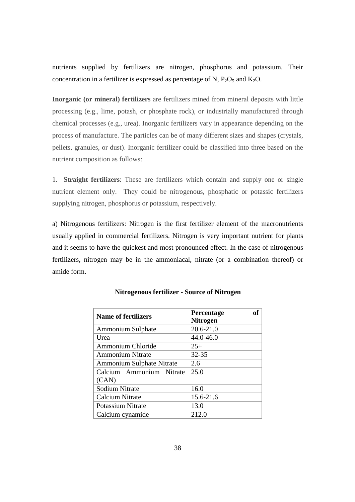nutrients supplied by fertilizers are nitrogen, phosphorus and potassium. Their concentration in a fertilizer is expressed as percentage of N,  $P_2O_5$  and  $K_2O$ .

**Inorganic (or mineral) fertilizers** are fertilizers mined from mineral deposits with little processing (e.g., lime, potash, or phosphate rock), or industrially manufactured through chemical processes (e.g., urea). Inorganic fertilizers vary in appearance depending on the process of manufacture. The particles can be of many different sizes and shapes (crystals, pellets, granules, or dust). Inorganic fertilizer could be classified into three based on the nutrient composition as follows:

1. **Straight fertilizers**: These are fertilizers which contain and supply one or single nutrient element only. They could be nitrogenous, phosphatic or potassic fertilizers supplying nitrogen, phosphorus or potassium, respectively.

a) Nitrogenous fertilizers: Nitrogen is the first fertilizer element of the macronutrients usually applied in commercial fertilizers. Nitrogen is very important nutrient for plants and it seems to have the quickest and most pronounced effect. In the case of nitrogenous fertilizers, nitrogen may be in the ammoniacal, nitrate (or a combination thereof) or amide form.

| <b>Name of fertilizers</b>        | Percentage<br><b>Nitrogen</b> |
|-----------------------------------|-------------------------------|
| Ammonium Sulphate                 | $20.6 - 21.0$                 |
| Urea                              | 44.0-46.0                     |
| Ammonium Chloride                 | $25+$                         |
| <b>Ammonium Nitrate</b>           | $32 - 35$                     |
| Ammonium Sulphate Nitrate         | 2.6                           |
| Calcium Ammonium Nitrate<br>(CAN) | 25.0                          |
| <b>Sodium Nitrate</b>             | 16.0                          |
| Calcium Nitrate                   | 15.6-21.6                     |
| Potassium Nitrate                 | 13.0                          |
| Calcium cynamide                  | 212.0                         |

#### **Nitrogenous fertilizer - Source of Nitrogen**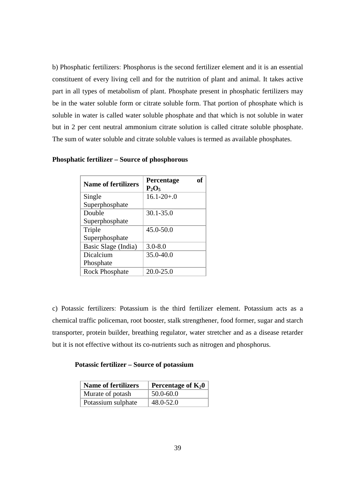b) Phosphatic fertilizers: Phosphorus is the second fertilizer element and it is an essential constituent of every living cell and for the nutrition of plant and animal. It takes active part in all types of metabolism of plant. Phosphate present in phosphatic fertilizers may be in the water soluble form or citrate soluble form. That portion of phosphate which is soluble in water is called water soluble phosphate and that which is not soluble in water but in 2 per cent neutral ammonium citrate solution is called citrate soluble phosphate. The sum of water soluble and citrate soluble values is termed as available phosphates.

| <b>Name of fertilizers</b> | Percentage<br>$P_2O_5$ |  |
|----------------------------|------------------------|--|
| Single                     | $16.1 - 20 + 0$        |  |
| Superphosphate             |                        |  |
| Double                     | $30.1 - 35.0$          |  |
| Superphosphate             |                        |  |
| Triple                     | $45.0 - 50.0$          |  |
| Superphosphate             |                        |  |
| Basic Slage (India)        | $3.0 - 8.0$            |  |
| Dicalcium                  | 35.0-40.0              |  |
| Phosphate                  |                        |  |
| <b>Rock Phosphate</b>      | $20.0 - 25.0$          |  |

#### **Phosphatic fertilizer – Source of phosphorous**

c) Potassic fertilizers: Potassium is the third fertilizer element. Potassium acts as a chemical traffic policeman, root booster, stalk strengthener, food former, sugar and starch transporter, protein builder, breathing regulator, water stretcher and as a disease retarder but it is not effective without its co-nutrients such as nitrogen and phosphorus.

#### **Potassic fertilizer – Source of potassium**

| <b>Name of fertilizers</b> | Percentage of $K_20$ |
|----------------------------|----------------------|
| Murate of potash           | 50.0-60.0            |
| Potassium sulphate         | 48.0-52.0            |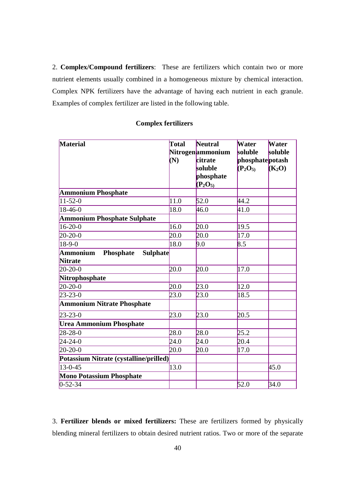2. **Complex/Compound fertilizers**: These are fertilizers which contain two or more nutrient elements usually combined in a homogeneous mixture by chemical interaction. Complex NPK fertilizers have the advantage of having each nutrient in each granule. Examples of complex fertilizer are listed in the following table.

## **Complex fertilizers**

| <b>Material</b>                                                   | Total<br>(N) | <b>Neutral</b><br>Nitrogenammonium<br>citrate | <b>Water</b><br>soluble<br>phosphatepotash | Water<br>soluble |
|-------------------------------------------------------------------|--------------|-----------------------------------------------|--------------------------------------------|------------------|
|                                                                   |              | soluble<br>phosphate<br>$(P_2O_5)$            | $(P_2O_5)$                                 | $(K_2O)$         |
| <b>Ammonium Phosphate</b>                                         |              |                                               |                                            |                  |
| $11-52-0$                                                         | 11.0         | 52.0                                          | 44.2                                       |                  |
| 18-46-0                                                           | 18.0         | 46.0                                          | 41.0                                       |                  |
| <b>Ammonium Phosphate Sulphate</b>                                |              |                                               |                                            |                  |
| $16-20-0$                                                         | 16.0         | 20.0                                          | 19.5                                       |                  |
| $20-20-0$                                                         | 20.0         | 20.0                                          | 17.0                                       |                  |
| $18-9-0$                                                          | 18.0         | 9.0                                           | 8.5                                        |                  |
| <b>Ammonium</b><br>Phosphate<br><b>Sulphate</b><br><b>Nitrate</b> |              |                                               |                                            |                  |
| $20 - 20 - 0$                                                     | 20.0         | 20.0                                          | 17.0                                       |                  |
| Nitrophosphate                                                    |              |                                               |                                            |                  |
| $20-20-0$                                                         | 20.0         | 23.0                                          | 12.0                                       |                  |
| $23 - 23 - 0$                                                     | 23.0         | 23.0                                          | 18.5                                       |                  |
| <b>Ammonium Nitrate Phosphate</b>                                 |              |                                               |                                            |                  |
| $23 - 23 - 0$                                                     | 23.0         | 23.0                                          | 20.5                                       |                  |
| <b>Urea Ammonium Phosphate</b>                                    |              |                                               |                                            |                  |
| $28 - 28 - 0$                                                     | 28.0         | 28.0                                          | 25.2                                       |                  |
| $24 - 24 - 0$                                                     | 24.0         | 24.0                                          | 20.4                                       |                  |
| $20-20-0$                                                         | 20.0         | 20.0                                          | 17.0                                       |                  |
| Potassium Nitrate (cystalline/prilled)                            |              |                                               |                                            |                  |
| $13-0-45$                                                         | 13.0         |                                               |                                            | 45.0             |
| <b>Mono Potassium Phosphate</b>                                   |              |                                               |                                            |                  |
| $0 - 52 - 34$                                                     |              |                                               | 52.0                                       | 34.0             |

3. **Fertilizer blends or mixed fertilizers:** These are fertilizers formed by physically blending mineral fertilizers to obtain desired nutrient ratios. Two or more of the separate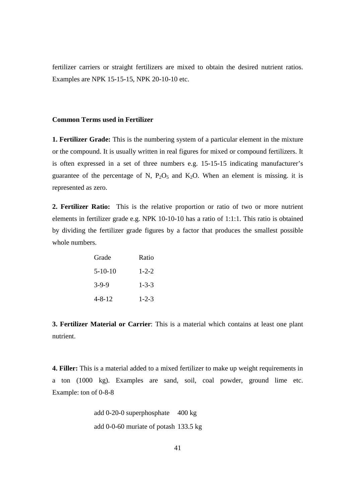fertilizer carriers or straight fertilizers are mixed to obtain the desired nutrient ratios. Examples are NPK 15-15-15, NPK 20-10-10 etc.

#### **Common Terms used in Fertilizer**

**1. Fertilizer Grade:** This is the numbering system of a particular element in the mixture or the compound. It is usually written in real figures for mixed or compound fertilizers. It is often expressed in a set of three numbers e.g. 15-15-15 indicating manufacturer's guarantee of the percentage of N,  $P_2O_5$  and  $K_2O$ . When an element is missing. it is represented as zero.

**2. Fertilizer Ratio:** This is the relative proportion or ratio of two or more nutrient elements in fertilizer grade e.g. NPK 10-10-10 has a ratio of 1:1:1. This ratio is obtained by dividing the fertilizer grade figures by a factor that produces the smallest possible whole numbers.

| Grade         | Ratio       |
|---------------|-------------|
| $5 - 10 - 10$ | $1 - 2 - 2$ |
| $3-9-9$       | $1 - 3 - 3$ |
| $4 - 8 - 12$  | $1 - 2 - 3$ |

**3. Fertilizer Material or Carrier**: This is a material which contains at least one plant nutrient.

**4. Filler:** This is a material added to a mixed fertilizer to make up weight requirements in a ton (1000 kg). Examples are sand, soil, coal powder, ground lime etc. Example: ton of 0-8-8

add 0-20-0 superphosphate 400 kg add 0-0-60 muriate of potash 133.5 kg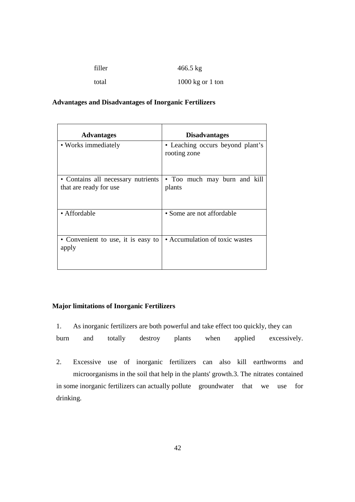| filler | $466.5 \text{ kg}$         |
|--------|----------------------------|
| total  | $1000 \text{ kg}$ or 1 ton |

#### **Advantages and Disadvantages of Inorganic Fertilizers**

| <b>Advantages</b>                                            | <b>Disadvantages</b>                             |
|--------------------------------------------------------------|--------------------------------------------------|
| • Works immediately                                          | • Leaching occurs beyond plant's<br>rooting zone |
| • Contains all necessary nutrients<br>that are ready for use | • Too much may burn and kill<br>plants           |
| • Affordable                                                 | • Some are not affordable                        |
| • Convenient to use, it is easy to<br>apply                  | • Accumulation of toxic wastes                   |

#### **Major limitations of Inorganic Fertilizers**

- 1. As inorganic fertilizers are both powerful and take effect too quickly, they can burn and totally destroy plants when applied excessively.
- 2. Excessive use of inorganic fertilizers can also kill earthworms and microorganisms in the soil that help in the plants' growth.3. The nitrates contained in some inorganic fertilizers can actually pollute groundwater that we use for drinking.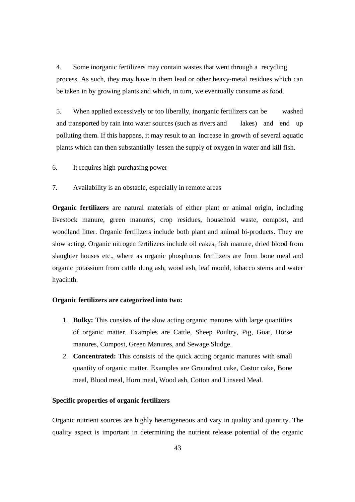4. Some inorganic fertilizers may contain wastes that went through a recycling process. As such, they may have in them lead or other heavy-metal residues which can be taken in by growing plants and which, in turn, we eventually consume as food.

5. When applied excessively or too liberally, inorganic fertilizers can be washed and transported by rain into water sources (such as rivers and lakes) and end up polluting them. If this happens, it may result to an increase in growth of several aquatic plants which can then substantially lessen the supply of oxygen in water and kill fish.

- 6. It requires high purchasing power
- 7. Availability is an obstacle, especially in remote areas

**Organic fertilizers** are natural materials of either plant or animal origin, including livestock manure, green manures, crop residues, household waste, compost, and woodland litter. Organic fertilizers include both plant and animal bi-products. They are slow acting. Organic nitrogen fertilizers include oil cakes, fish manure, dried blood from slaughter houses etc., where as organic phosphorus fertilizers are from bone meal and organic potassium from cattle dung ash, wood ash, leaf mould, tobacco stems and water hyacinth.

#### **Organic fertilizers are categorized into two:**

- 1. **Bulky:** This consists of the slow acting organic manures with large quantities of organic matter. Examples are Cattle, Sheep Poultry, Pig, Goat, Horse manures, Compost, Green Manures, and Sewage Sludge.
- 2. **Concentrated:** This consists of the quick acting organic manures with small quantity of organic matter. Examples are Groundnut cake, Castor cake, Bone meal, Blood meal, Horn meal, Wood ash, Cotton and Linseed Meal.

#### **Specific properties of organic fertilizers**

Organic nutrient sources are highly heterogeneous and vary in quality and quantity. The quality aspect is important in determining the nutrient release potential of the organic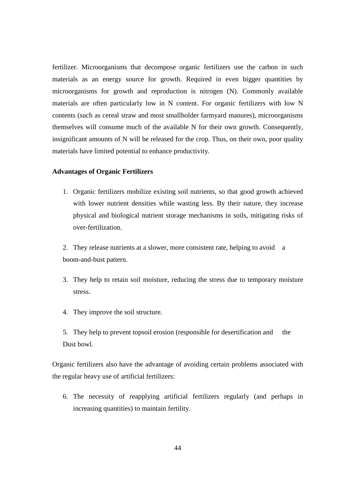fertilizer. Microorganisms that decompose organic fertilizers use the carbon in such materials as an energy source for growth. Required in even bigger quantities by microorganisms for growth and reproduction is nitrogen (N). Commonly available materials are often particularly low in N content. For organic fertilizers with low N contents (such as cereal straw and most smallholder farmyard manures), microorganisms themselves will consume much of the available N for their own growth. Consequently, insignificant amounts of N will be released for the crop. Thus, on their own, poor quality materials have limited potential to enhance productivity.

#### **Advantages of Organic Fertilizers**

1. Organic fertilizers mobilize existing soil nutrients, so that good growth achieved with lower nutrient densities while wasting less. By their nature, they increase physical and biological nutrient storage mechanisms in soils, mitigating risks of over-fertilization.

2. They release nutrients at a slower, more consistent rate, helping to avoid a boom-and-bust pattern.

- 3. They help to retain soil moisture, reducing the stress due to temporary moisture stress.
- 4. They improve the soil structure.
- 5. They help to prevent topsoil erosion (responsible for desertification and the Dust bowl.

Organic fertilizers also have the advantage of avoiding certain problems associated with the regular heavy use of artificial fertilizers:

6. The necessity of reapplying artificial fertilizers regularly (and perhaps in increasing quantities) to maintain fertility.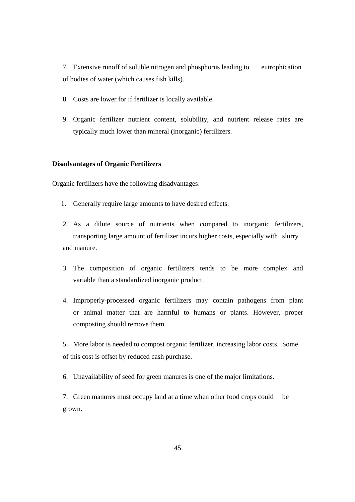7. Extensive runoff of soluble nitrogen and phosphorus leading to eutrophication of bodies of water (which causes fish kills).

- 8. Costs are lower for if fertilizer is locally available.
- 9. Organic fertilizer nutrient content, solubility, and nutrient release rates are typically much lower than mineral (inorganic) fertilizers.

#### **Disadvantages of Organic Fertilizers**

Organic fertilizers have the following disadvantages:

- 1. Generally require large amounts to have desired effects.
- 2. As a dilute source of nutrients when compared to inorganic fertilizers, transporting large amount of fertilizer incurs higher costs, especially with slurry and manure.
- 3. The composition of organic fertilizers tends to be more complex and variable than a standardized inorganic product.
- 4. Improperly-processed organic fertilizers may contain pathogens from plant or animal matter that are harmful to humans or plants. However, proper composting should remove them.

5. More labor is needed to compost organic fertilizer, increasing labor costs. Some of this cost is offset by reduced cash purchase.

6. Unavailability of seed for green manures is one of the major limitations.

7. Green manures must occupy land at a time when other food crops could be grown.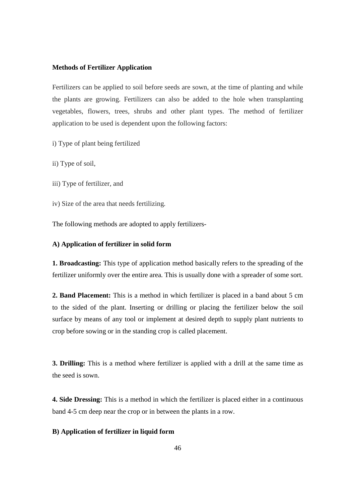#### **Methods of Fertilizer Application**

Fertilizers can be applied to soil before seeds are sown, at the time of planting and while the plants are growing. Fertilizers can also be added to the hole when transplanting vegetables, flowers, trees, shrubs and other plant types. The method of fertilizer application to be used is dependent upon the following factors:

i) Type of plant being fertilized

ii) Type of soil,

iii) Type of fertilizer, and

iv) Size of the area that needs fertilizing.

The following methods are adopted to apply fertilizers-

#### **A) Application of fertilizer in solid form**

**1. Broadcasting:** This type of application method basically refers to the spreading of the fertilizer uniformly over the entire area. This is usually done with a spreader of some sort.

**2. Band Placement:** This is a method in which fertilizer is placed in a band about 5 cm to the sided of the plant. Inserting or drilling or placing the fertilizer below the soil surface by means of any tool or implement at desired depth to supply plant nutrients to crop before sowing or in the standing crop is called placement.

**3. Drilling:** This is a method where fertilizer is applied with a drill at the same time as the seed is sown.

**4. Side Dressing:** This is a method in which the fertilizer is placed either in a continuous band 4-5 cm deep near the crop or in between the plants in a row.

#### **B) Application of fertilizer in liquid form**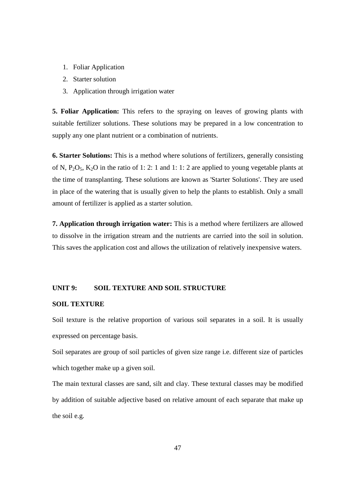- 1. Foliar Application
- 2. Starter solution
- 3. Application through irrigation water

**5. Foliar Application:** This refers to the spraying on leaves of growing plants with suitable fertilizer solutions. These solutions may be prepared in a low concentration to supply any one plant nutrient or a combination of nutrients.

**6. Starter Solutions:** This is a method where solutions of fertilizers, generally consisting of N,  $P_2O_5$ ,  $K_2O$  in the ratio of 1: 2: 1 and 1: 1: 2 are applied to young vegetable plants at the time of transplanting. These solutions are known as 'Starter Solutions'. They are used in place of the watering that is usually given to help the plants to establish. Only a small amount of fertilizer is applied as a starter solution.

**7. Application through irrigation water:** This is a method where fertilizers are allowed to dissolve in the irrigation stream and the nutrients are carried into the soil in solution. This saves the application cost and allows the utilization of relatively inexpensive waters.

#### **UNIT 9: SOIL TEXTURE AND SOIL STRUCTURE**

#### **SOIL TEXTURE**

Soil texture is the relative proportion of various soil separates in a soil. It is usually expressed on percentage basis.

Soil separates are group of soil particles of given size range i.e. different size of particles which together make up a given soil.

The main textural classes are sand, silt and clay. These textural classes may be modified by addition of suitable adjective based on relative amount of each separate that make up the soil e.g.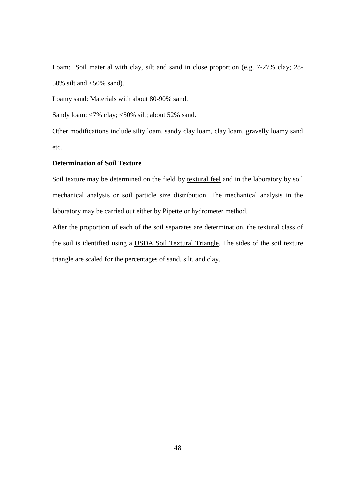Loam: Soil material with clay, silt and sand in close proportion (e.g. 7-27% clay; 28- 50% silt and  $<50\%$  sand).

Loamy sand: Materials with about 80-90% sand.

Sandy loam: <7% clay; <50% silt; about 52% sand.

Other modifications include silty loam, sandy clay loam, clay loam, gravelly loamy sand etc.

#### **Determination of Soil Texture**

Soil texture may be determined on the field by textural feel and in the laboratory by soil mechanical analysis or soil particle size distribution. The mechanical analysis in the laboratory may be carried out either by Pipette or hydrometer method.

After the proportion of each of the soil separates are determination, the textural class of the soil is identified using a USDA Soil Textural Triangle. The sides of the soil texture triangle are scaled for the percentages of sand, silt, and clay.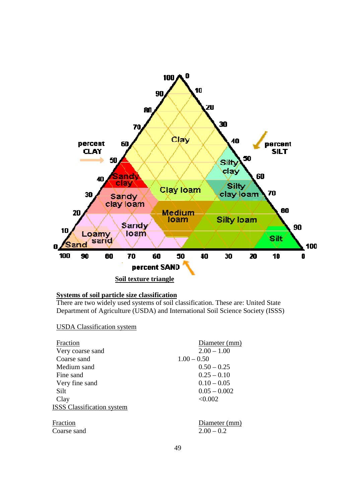

#### **Systems of soil particle size classification**

There are two widely used systems of soil classification. These are: United State State Department of Agriculture (USDA) and International Soil Science Society (ISSS)

#### USDA Classification system

| Diameter (mm)                 |
|-------------------------------|
| $2.00 - 1.00$                 |
| $1.00 - 0.50$                 |
| $0.50 - 0.25$                 |
| $0.25 - 0.10$                 |
| $0.10 - 0.05$                 |
| $0.05 - 0.002$                |
| < 0.002                       |
|                               |
| Diameter (mm)<br>$2.00 - 0.2$ |
|                               |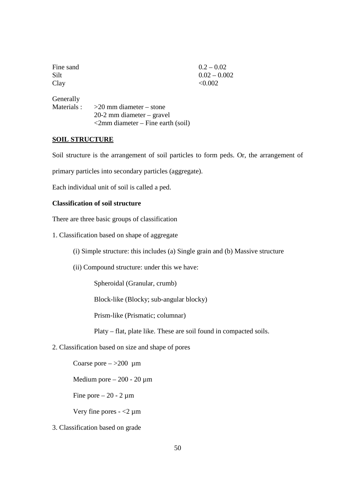| Fine sand   |                                         | $0.2 - 0.02$   |
|-------------|-----------------------------------------|----------------|
| Silt        |                                         | $0.02 - 0.002$ |
| Clay        |                                         | < 0.002        |
| Generally   |                                         |                |
| Materials : | $>20$ mm diameter – stone               |                |
|             | $20-2$ mm diameter – gravel             |                |
|             | $\leq$ 2mm diameter – Fine earth (soil) |                |

#### **SOIL STRUCTURE**

Soil structure is the arrangement of soil particles to form peds. Or, the arrangement of

primary particles into secondary particles (aggregate).

Each individual unit of soil is called a ped.

#### **Classification of soil structure**

There are three basic groups of classification

- 1. Classification based on shape of aggregate
	- (i) Simple structure: this includes (a) Single grain and (b) Massive structure
	- (ii) Compound structure: under this we have:

Spheroidal (Granular, crumb)

Block-like (Blocky; sub-angular blocky)

Prism-like (Prismatic; columnar)

Platy – flat, plate like. These are soil found in compacted soils.

2. Classification based on size and shape of pores

Coarse pore  $-$  >200 µm

Medium pore  $-200 - 20 \mu m$ 

Fine pore  $-20 - 2 \mu m$ 

Very fine pores  $-$  <2  $\mu$ m

3. Classification based on grade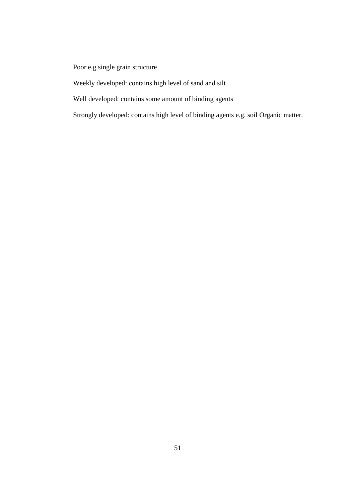### Poor e.g single grain structure

Weekly developed: contains high level of sand and silt

Well developed: contains some amount of binding agents

Strongly developed: contains high level of binding agents e.g. soil Organic matter.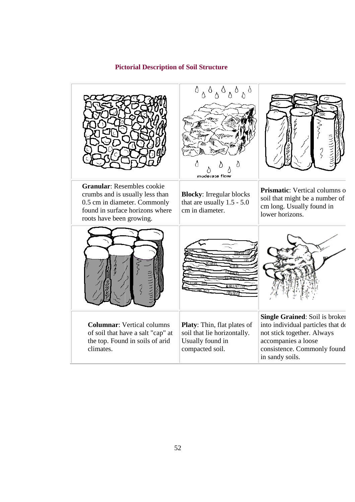#### **Pictorial Description of Soil Structure Description**



 **Granular**: Resembles cookie crumbs and is usually less than 0.5 cm in diameter. Commonly found in surface horizons where roots have been growing.



**Columnar**: Vertical columns of soil that have a salt "cap" at the top. Found in soils of arid climates.



**Blocky**: Irregular blocks that are usually 1.5 - 5.0 cm in diameter.



**Platy**: Thin, flat plates of soil that lie horizontally. Usually found in compacted soil.

**Prismatic:** Vertical columns of soil that might be a number of cm long. Usually found in

lower horizons.

**Single Grained:** Soil is broken: Thin, flat plates of into individual particles that do not stick together. Always accompanies a loose consistence. Commonly found in sandy soils.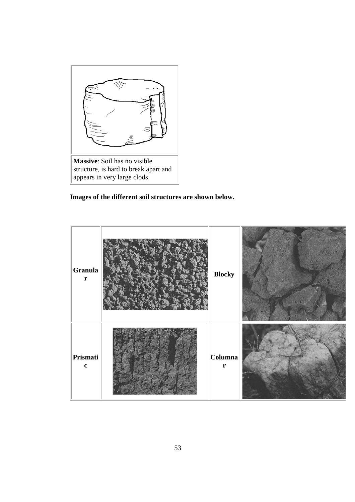

**Images of the different soil structures are shown below.**

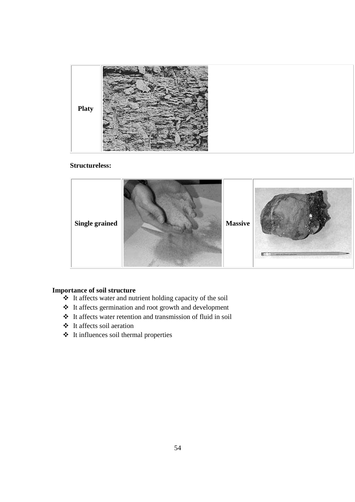

#### **Structureless:**



#### **Importance of soil structure**

- $\triangleleft$  It affects water and nutrient holding capacity of the soil
- It affects germination and root growth and development
- It affects water retention and transmission of fluid in soil
- It affects soil aeration
- It influences soil thermal properties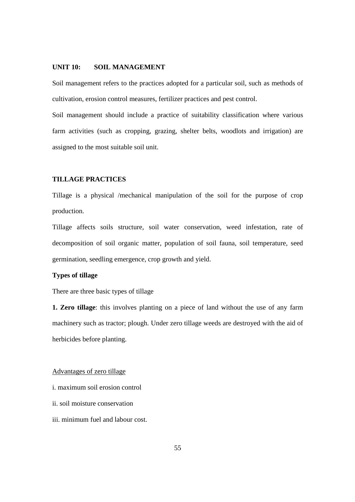#### **UNIT 10: SOIL MANAGEMENT**

Soil management refers to the practices adopted for a particular soil, such as methods of cultivation, erosion control measures, fertilizer practices and pest control.

Soil management should include a practice of suitability classification where various farm activities (such as cropping, grazing, shelter belts, woodlots and irrigation) are assigned to the most suitable soil unit.

#### **TILLAGE PRACTICES**

Tillage is a physical /mechanical manipulation of the soil for the purpose of crop production.

Tillage affects soils structure, soil water conservation, weed infestation, rate of decomposition of soil organic matter, population of soil fauna, soil temperature, seed germination, seedling emergence, crop growth and yield.

#### **Types of tillage**

There are three basic types of tillage

**1. Zero tillage**: this involves planting on a piece of land without the use of any farm machinery such as tractor; plough. Under zero tillage weeds are destroyed with the aid of herbicides before planting.

#### Advantages of zero tillage

i. maximum soil erosion control

- ii. soil moisture conservation
- iii. minimum fuel and labour cost.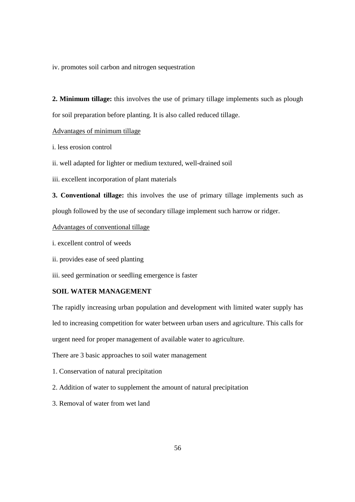iv. promotes soil carbon and nitrogen sequestration

**2. Minimum tillage:** this involves the use of primary tillage implements such as plough for soil preparation before planting. It is also called reduced tillage.

#### Advantages of minimum tillage

i. less erosion control

ii. well adapted for lighter or medium textured, well-drained soil

iii. excellent incorporation of plant materials

**3. Conventional tillage:** this involves the use of primary tillage implements such as plough followed by the use of secondary tillage implement such harrow or ridger.

#### Advantages of conventional tillage

- i. excellent control of weeds
- ii. provides ease of seed planting

iii. seed germination or seedling emergence is faster

#### **SOIL WATER MANAGEMENT**

The rapidly increasing urban population and development with limited water supply has led to increasing competition for water between urban users and agriculture. This calls for urgent need for proper management of available water to agriculture.

There are 3 basic approaches to soil water management

- 1. Conservation of natural precipitation
- 2. Addition of water to supplement the amount of natural precipitation
- 3. Removal of water from wet land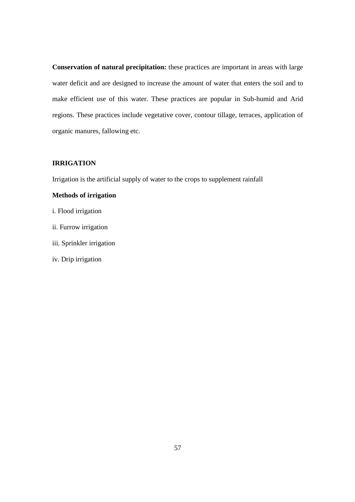**Conservation of natural precipitation:** these practices are important in areas with large water deficit and are designed to increase the amount of water that enters the soil and to make efficient use of this water. These practices are popular in Sub-humid and Arid regions. These practices include vegetative cover, contour tillage, terraces, application of organic manures, fallowing etc.

#### **IRRIGATION**

Irrigation is the artificial supply of water to the crops to supplement rainfall

#### **Methods of irrigation**

- i. Flood irrigation
- ii. Furrow irrigation
- iii. Sprinkler irrigation
- iv. Drip irrigation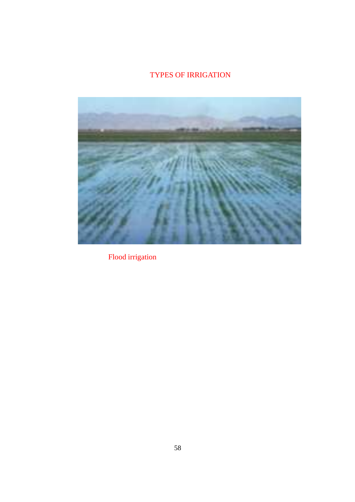## TYPES OF IRRIGATION



Flood irrigation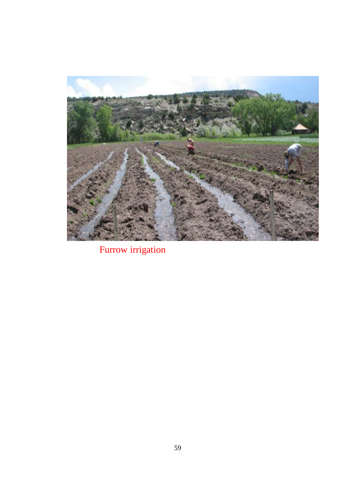

Furrow irrigation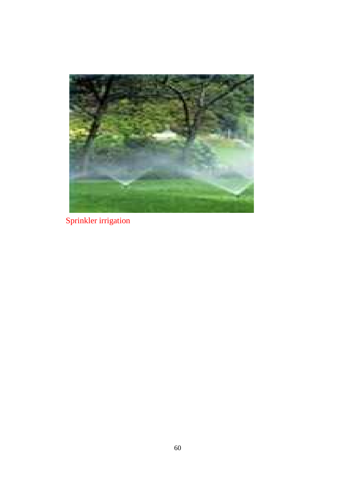![](_page_59_Picture_0.jpeg)

Sprinkler irrigation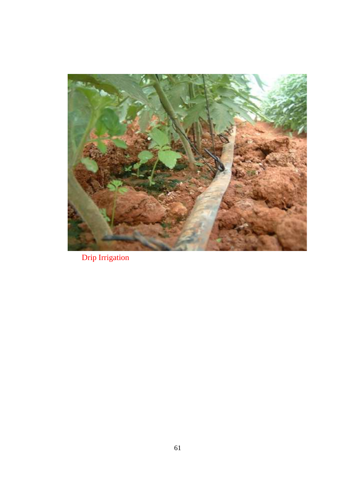![](_page_60_Picture_0.jpeg)

Drip Irrigation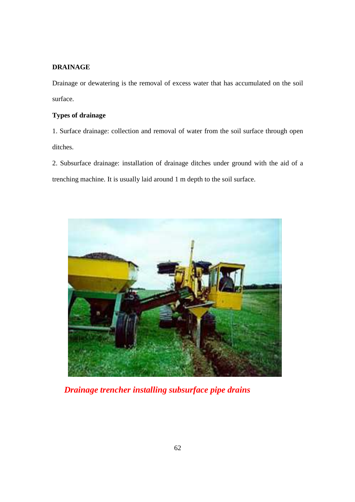#### **DRAINAGE**

Drainage or dewatering is the removal of excess water that has accumulated on the soil surface.

#### **Types of drainage**

1. Surface drainage: collection and removal of water from the soil surface through open ditches.

2. Subsurface drainage: installation of drainage ditches under ground with the aid of a trenching machine. It is usually laid around 1 m depth to the soil surface.

![](_page_61_Picture_5.jpeg)

*Drainage trencher installing subsurface pipe drains*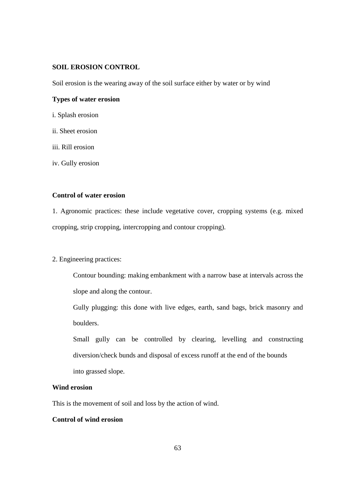#### **SOIL EROSION CONTROL**

Soil erosion is the wearing away of the soil surface either by water or by wind

#### **Types of water erosion**

- i. Splash erosion
- ii. Sheet erosion
- iii. Rill erosion

iv. Gully erosion

#### **Control of water erosion**

1. Agronomic practices: these include vegetative cover, cropping systems (e.g. mixed cropping, strip cropping, intercropping and contour cropping).

#### 2. Engineering practices:

Contour bounding: making embankment with a narrow base at intervals across the slope and along the contour.

Gully plugging: this done with live edges, earth, sand bags, brick masonry and boulders.

Small gully can be controlled by clearing, levelling and constructing diversion/check bunds and disposal of excess runoff at the end of the bounds into grassed slope.

#### **Wind erosion**

This is the movement of soil and loss by the action of wind.

#### **Control of wind erosion**